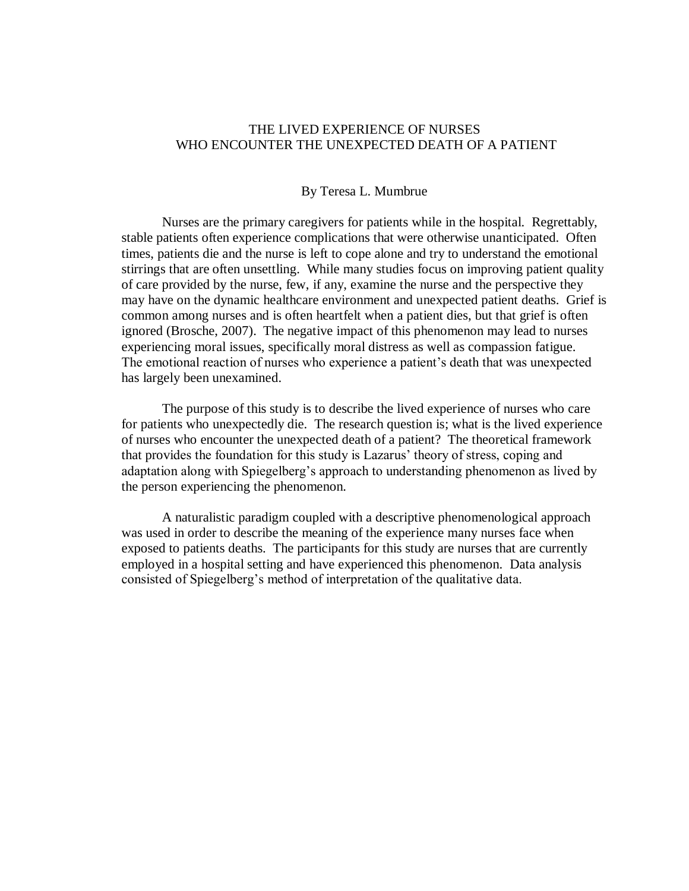## THE LIVED EXPERIENCE OF NURSES WHO ENCOUNTER THE UNEXPECTED DEATH OF A PATIENT

## By Teresa L. Mumbrue

Nurses are the primary caregivers for patients while in the hospital. Regrettably, stable patients often experience complications that were otherwise unanticipated. Often times, patients die and the nurse is left to cope alone and try to understand the emotional stirrings that are often unsettling. While many studies focus on improving patient quality of care provided by the nurse, few, if any, examine the nurse and the perspective they may have on the dynamic healthcare environment and unexpected patient deaths. Grief is common among nurses and is often heartfelt when a patient dies, but that grief is often ignored (Brosche, 2007). The negative impact of this phenomenon may lead to nurses experiencing moral issues, specifically moral distress as well as compassion fatigue. The emotional reaction of nurses who experience a patient's death that was unexpected has largely been unexamined.

The purpose of this study is to describe the lived experience of nurses who care for patients who unexpectedly die. The research question is; what is the lived experience of nurses who encounter the unexpected death of a patient? The theoretical framework that provides the foundation for this study is Lazarus" theory of stress, coping and adaptation along with Spiegelberg"s approach to understanding phenomenon as lived by the person experiencing the phenomenon.

A naturalistic paradigm coupled with a descriptive phenomenological approach was used in order to describe the meaning of the experience many nurses face when exposed to patients deaths. The participants for this study are nurses that are currently employed in a hospital setting and have experienced this phenomenon. Data analysis consisted of Spiegelberg"s method of interpretation of the qualitative data.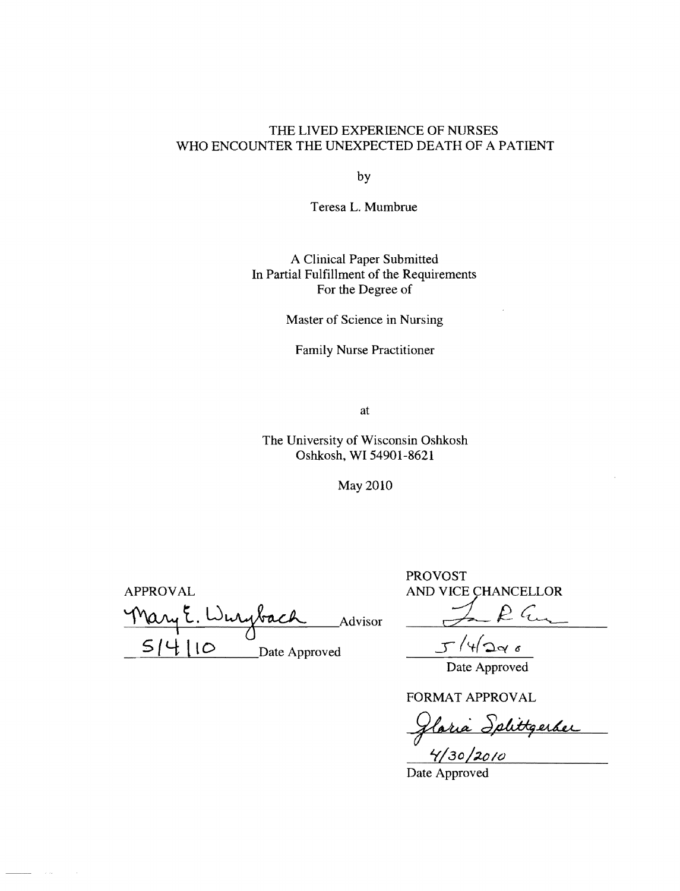## THE LIVED EXPERIENCE OF NURSES WHO ENCOUNTER THE UNEXPECTED DEATH OF A PATIENT

by

Teresa L. Mumbrue

A Clinical Paper Submitted In Partial Fulfillment of the Requirements For the Degree of

Master of Science in Nursing

Family Nurse Practitioner

at

The University of Wisconsin Oshkosh Oshkosh, WI 54901-8621

May 2010

APPROVAL AND VICE CHANCELLOR Mary E. Wurybach Advisor J. R. G.  $5/4$   $10$  Date Approved

 $\sim$ 

PROVOST

 $J/(4)$ lgas

Date Approved

FORMAT APPROVAL

<u>Ilaria Splittgerder</u><br>4/30/2010

Date Approved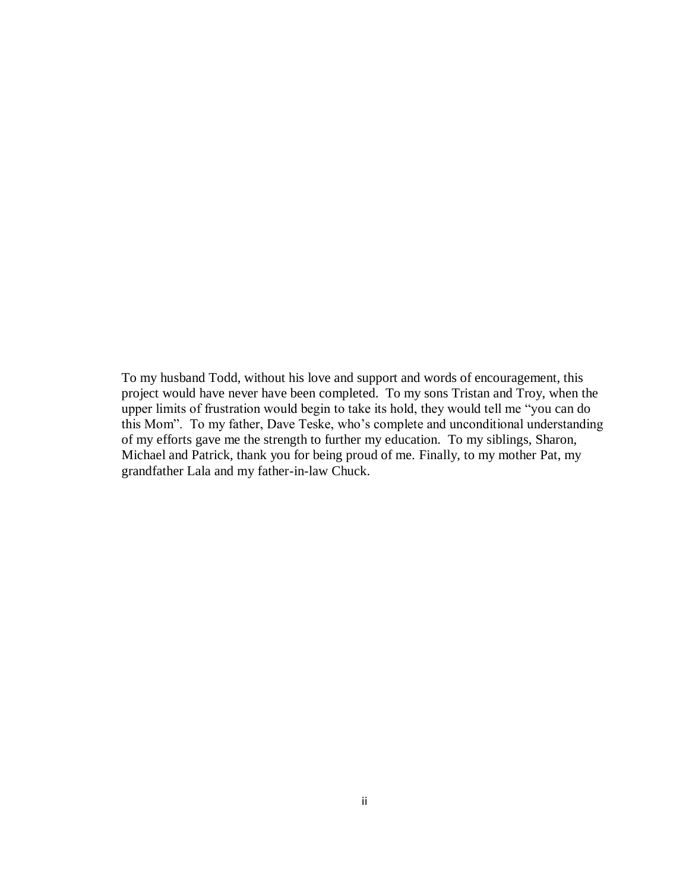To my husband Todd, without his love and support and words of encouragement, this project would have never have been completed. To my sons Tristan and Troy, when the upper limits of frustration would begin to take its hold, they would tell me "you can do this Mom". To my father, Dave Teske, who"s complete and unconditional understanding of my efforts gave me the strength to further my education. To my siblings, Sharon, Michael and Patrick, thank you for being proud of me. Finally, to my mother Pat, my grandfather Lala and my father-in-law Chuck.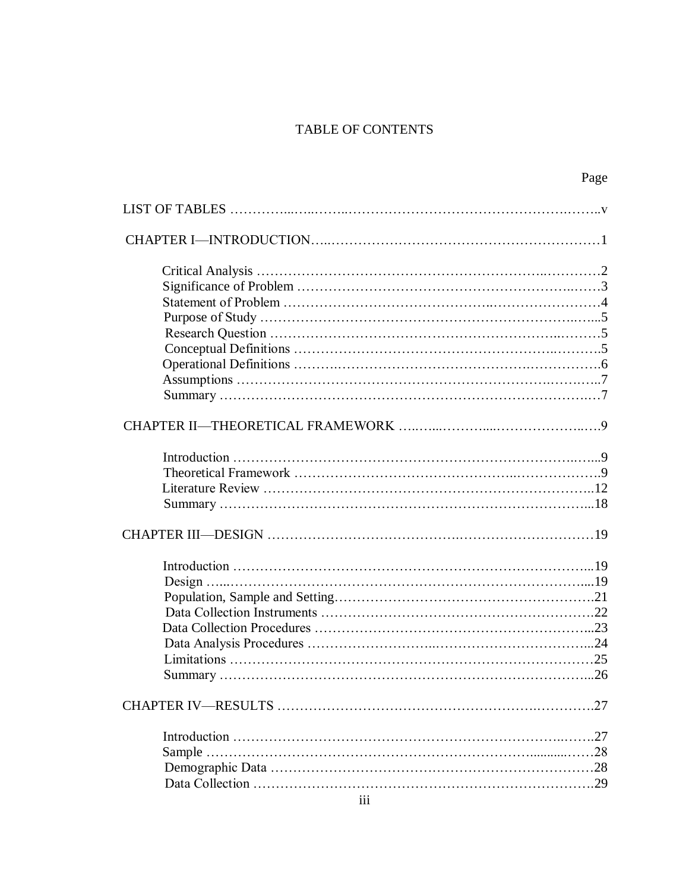# TABLE OF CONTENTS

|        | Page |
|--------|------|
|        |      |
|        |      |
|        |      |
|        |      |
|        |      |
|        |      |
|        |      |
|        |      |
|        |      |
|        |      |
|        |      |
|        |      |
|        |      |
|        |      |
|        |      |
|        |      |
|        |      |
|        |      |
|        |      |
|        |      |
|        |      |
|        |      |
|        |      |
|        |      |
|        |      |
|        |      |
|        |      |
| Sample |      |
|        |      |
|        |      |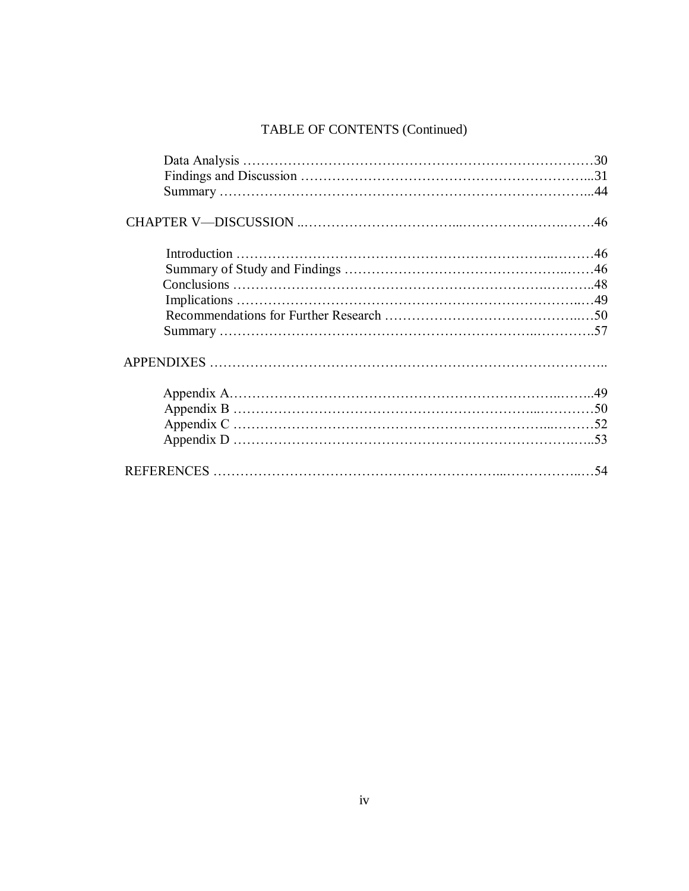# TABLE OF CONTENTS (Continued)

| .54 |
|-----|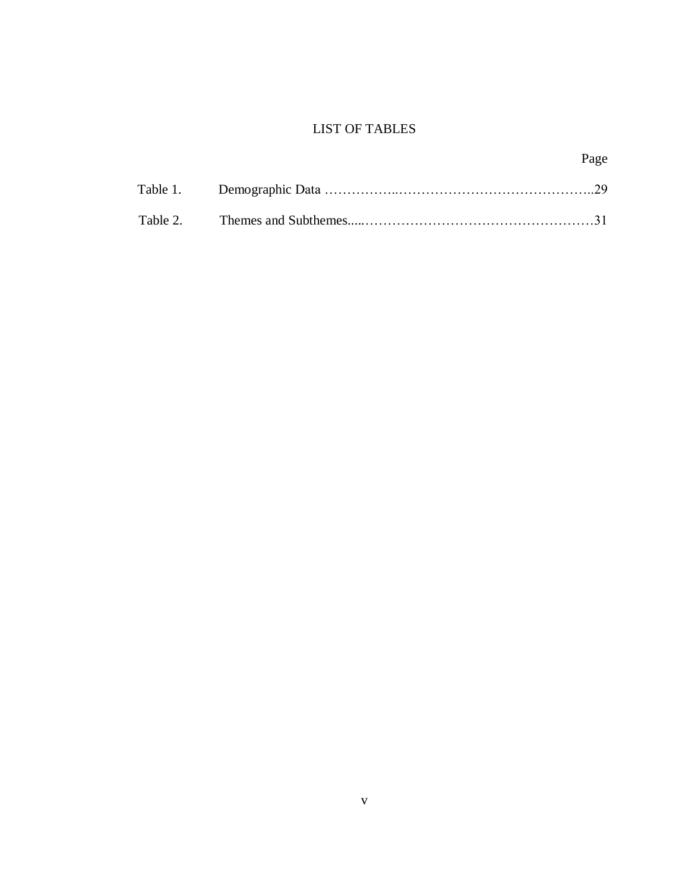# LIST OF TABLES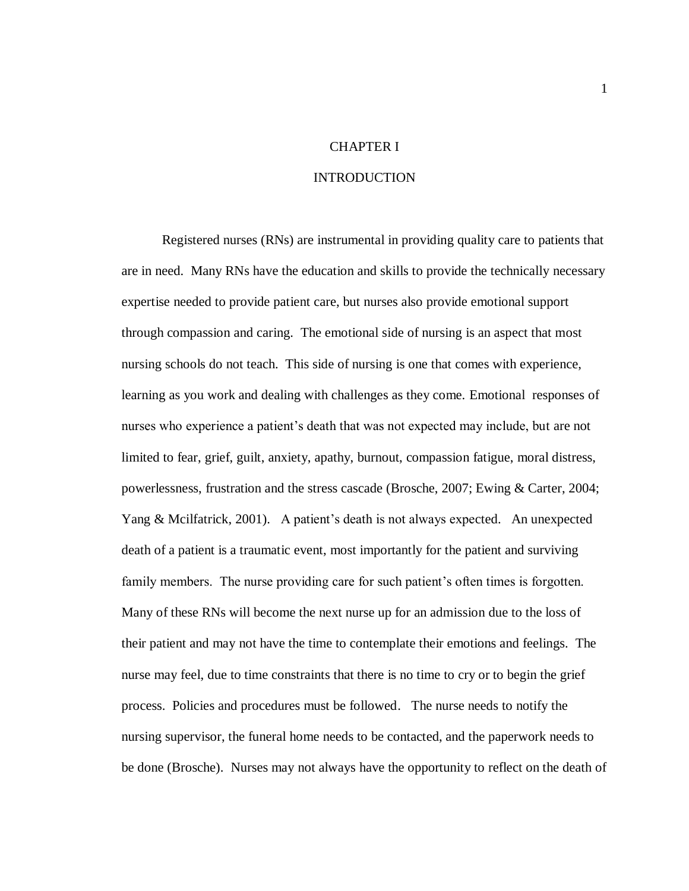#### CHAPTER I

#### INTRODUCTION

Registered nurses (RNs) are instrumental in providing quality care to patients that are in need. Many RNs have the education and skills to provide the technically necessary expertise needed to provide patient care, but nurses also provide emotional support through compassion and caring. The emotional side of nursing is an aspect that most nursing schools do not teach. This side of nursing is one that comes with experience, learning as you work and dealing with challenges as they come. Emotional responses of nurses who experience a patient"s death that was not expected may include, but are not limited to fear, grief, guilt, anxiety, apathy, burnout, compassion fatigue, moral distress, powerlessness, frustration and the stress cascade (Brosche, 2007; Ewing & Carter, 2004; Yang & Mcilfatrick, 2001). A patient's death is not always expected. An unexpected death of a patient is a traumatic event, most importantly for the patient and surviving family members. The nurse providing care for such patient's often times is forgotten. Many of these RNs will become the next nurse up for an admission due to the loss of their patient and may not have the time to contemplate their emotions and feelings. The nurse may feel, due to time constraints that there is no time to cry or to begin the grief process. Policies and procedures must be followed. The nurse needs to notify the nursing supervisor, the funeral home needs to be contacted, and the paperwork needs to be done (Brosche). Nurses may not always have the opportunity to reflect on the death of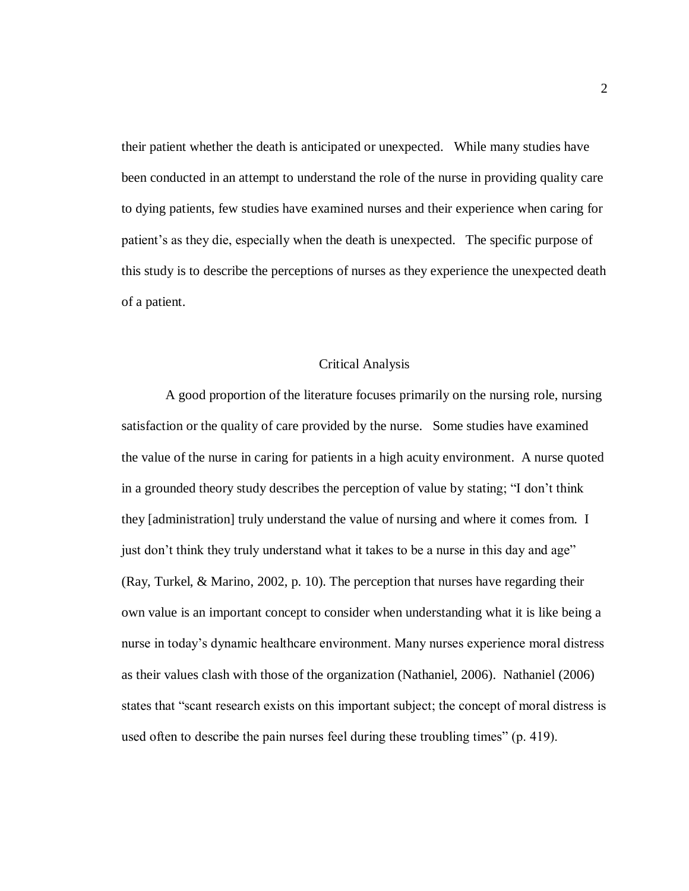their patient whether the death is anticipated or unexpected. While many studies have been conducted in an attempt to understand the role of the nurse in providing quality care to dying patients, few studies have examined nurses and their experience when caring for patient's as they die, especially when the death is unexpected. The specific purpose of this study is to describe the perceptions of nurses as they experience the unexpected death of a patient.

## Critical Analysis

A good proportion of the literature focuses primarily on the nursing role, nursing satisfaction or the quality of care provided by the nurse. Some studies have examined the value of the nurse in caring for patients in a high acuity environment. A nurse quoted in a grounded theory study describes the perception of value by stating; "I don"t think they [administration] truly understand the value of nursing and where it comes from. I just don't think they truly understand what it takes to be a nurse in this day and age" (Ray, Turkel, & Marino, 2002, p. 10). The perception that nurses have regarding their own value is an important concept to consider when understanding what it is like being a nurse in today"s dynamic healthcare environment. Many nurses experience moral distress as their values clash with those of the organization (Nathaniel, 2006). Nathaniel (2006) states that "scant research exists on this important subject; the concept of moral distress is used often to describe the pain nurses feel during these troubling times" (p. 419).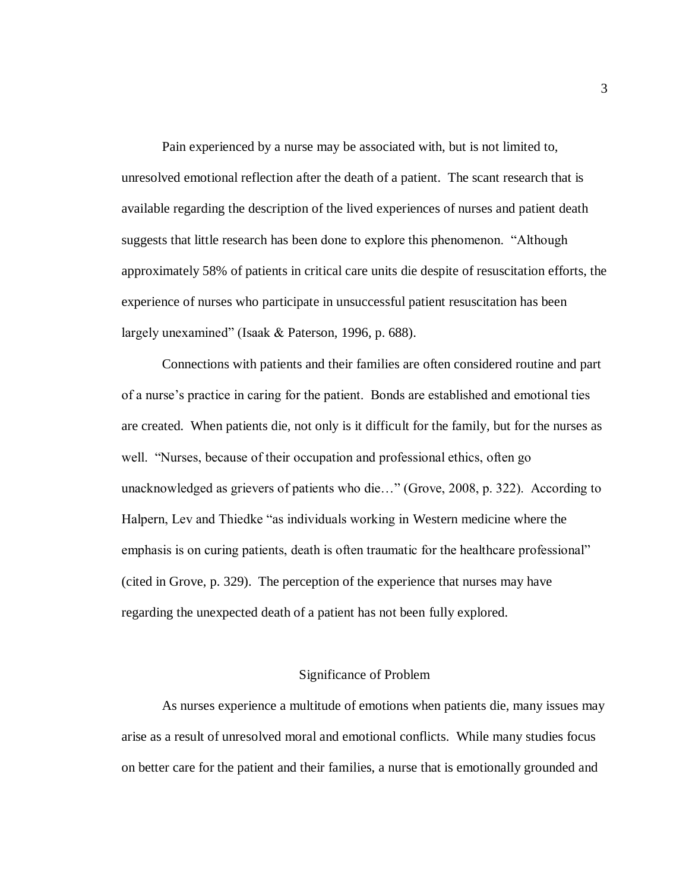Pain experienced by a nurse may be associated with, but is not limited to, unresolved emotional reflection after the death of a patient. The scant research that is available regarding the description of the lived experiences of nurses and patient death suggests that little research has been done to explore this phenomenon. "Although approximately 58% of patients in critical care units die despite of resuscitation efforts, the experience of nurses who participate in unsuccessful patient resuscitation has been largely unexamined" (Isaak & Paterson, 1996, p. 688).

Connections with patients and their families are often considered routine and part of a nurse"s practice in caring for the patient. Bonds are established and emotional ties are created. When patients die, not only is it difficult for the family, but for the nurses as well. "Nurses, because of their occupation and professional ethics, often go unacknowledged as grievers of patients who die…" (Grove, 2008, p. 322). According to Halpern, Lev and Thiedke "as individuals working in Western medicine where the emphasis is on curing patients, death is often traumatic for the healthcare professional" (cited in Grove, p. 329). The perception of the experience that nurses may have regarding the unexpected death of a patient has not been fully explored.

#### Significance of Problem

As nurses experience a multitude of emotions when patients die, many issues may arise as a result of unresolved moral and emotional conflicts. While many studies focus on better care for the patient and their families, a nurse that is emotionally grounded and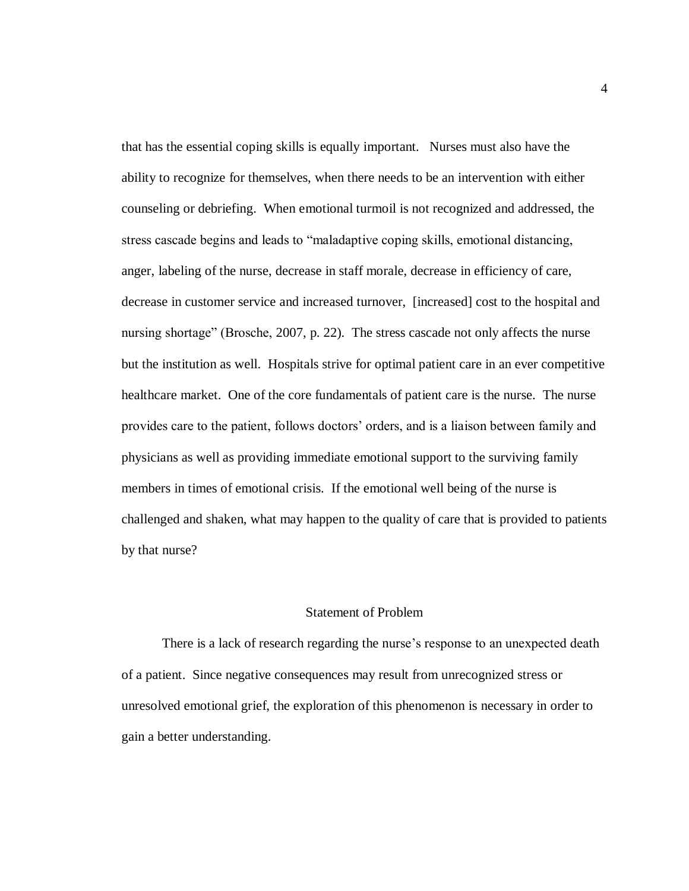that has the essential coping skills is equally important. Nurses must also have the ability to recognize for themselves, when there needs to be an intervention with either counseling or debriefing. When emotional turmoil is not recognized and addressed, the stress cascade begins and leads to "maladaptive coping skills, emotional distancing, anger, labeling of the nurse, decrease in staff morale, decrease in efficiency of care, decrease in customer service and increased turnover, [increased] cost to the hospital and nursing shortage" (Brosche, 2007, p. 22). The stress cascade not only affects the nurse but the institution as well. Hospitals strive for optimal patient care in an ever competitive healthcare market. One of the core fundamentals of patient care is the nurse. The nurse provides care to the patient, follows doctors" orders, and is a liaison between family and physicians as well as providing immediate emotional support to the surviving family members in times of emotional crisis. If the emotional well being of the nurse is challenged and shaken, what may happen to the quality of care that is provided to patients by that nurse?

## Statement of Problem

There is a lack of research regarding the nurse's response to an unexpected death of a patient. Since negative consequences may result from unrecognized stress or unresolved emotional grief, the exploration of this phenomenon is necessary in order to gain a better understanding.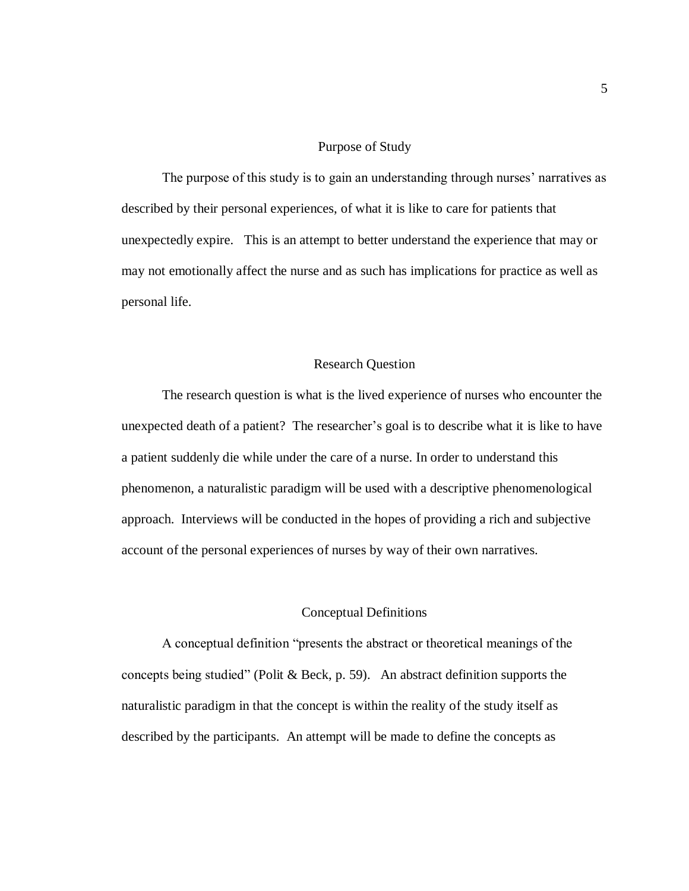#### Purpose of Study

The purpose of this study is to gain an understanding through nurses' narratives as described by their personal experiences, of what it is like to care for patients that unexpectedly expire. This is an attempt to better understand the experience that may or may not emotionally affect the nurse and as such has implications for practice as well as personal life.

#### Research Question

The research question is what is the lived experience of nurses who encounter the unexpected death of a patient? The researcher's goal is to describe what it is like to have a patient suddenly die while under the care of a nurse. In order to understand this phenomenon, a naturalistic paradigm will be used with a descriptive phenomenological approach. Interviews will be conducted in the hopes of providing a rich and subjective account of the personal experiences of nurses by way of their own narratives.

## Conceptual Definitions

A conceptual definition "presents the abstract or theoretical meanings of the concepts being studied" (Polit & Beck, p. 59). An abstract definition supports the naturalistic paradigm in that the concept is within the reality of the study itself as described by the participants. An attempt will be made to define the concepts as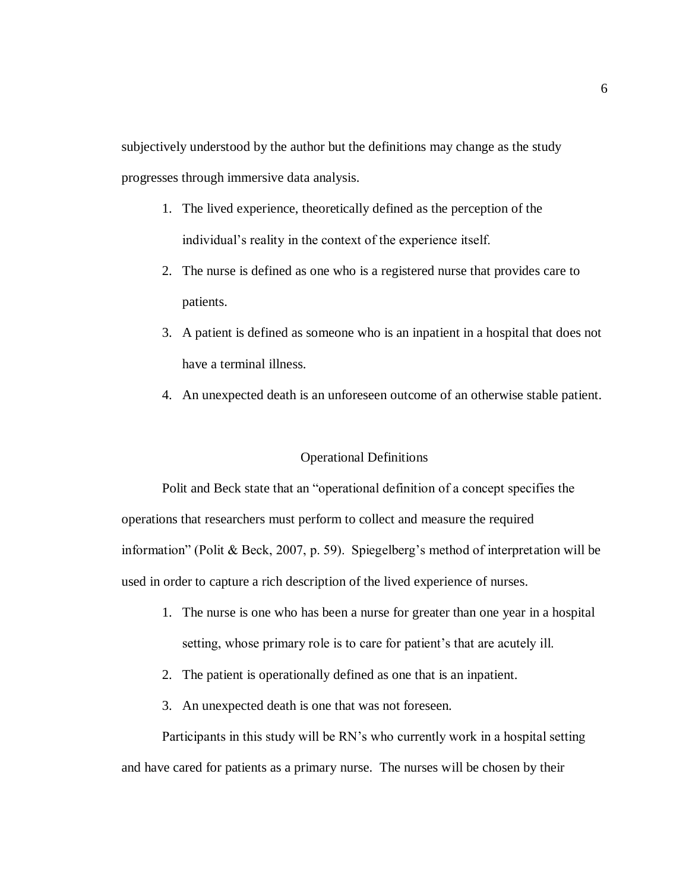subjectively understood by the author but the definitions may change as the study progresses through immersive data analysis.

- 1. The lived experience, theoretically defined as the perception of the individual"s reality in the context of the experience itself.
- 2. The nurse is defined as one who is a registered nurse that provides care to patients.
- 3. A patient is defined as someone who is an inpatient in a hospital that does not have a terminal illness.
- 4. An unexpected death is an unforeseen outcome of an otherwise stable patient.

## Operational Definitions

Polit and Beck state that an "operational definition of a concept specifies the operations that researchers must perform to collect and measure the required information" (Polit & Beck, 2007, p. 59). Spiegelberg's method of interpretation will be used in order to capture a rich description of the lived experience of nurses.

- 1. The nurse is one who has been a nurse for greater than one year in a hospital setting, whose primary role is to care for patient's that are acutely ill.
- 2. The patient is operationally defined as one that is an inpatient.
- 3. An unexpected death is one that was not foreseen.

Participants in this study will be RN"s who currently work in a hospital setting and have cared for patients as a primary nurse. The nurses will be chosen by their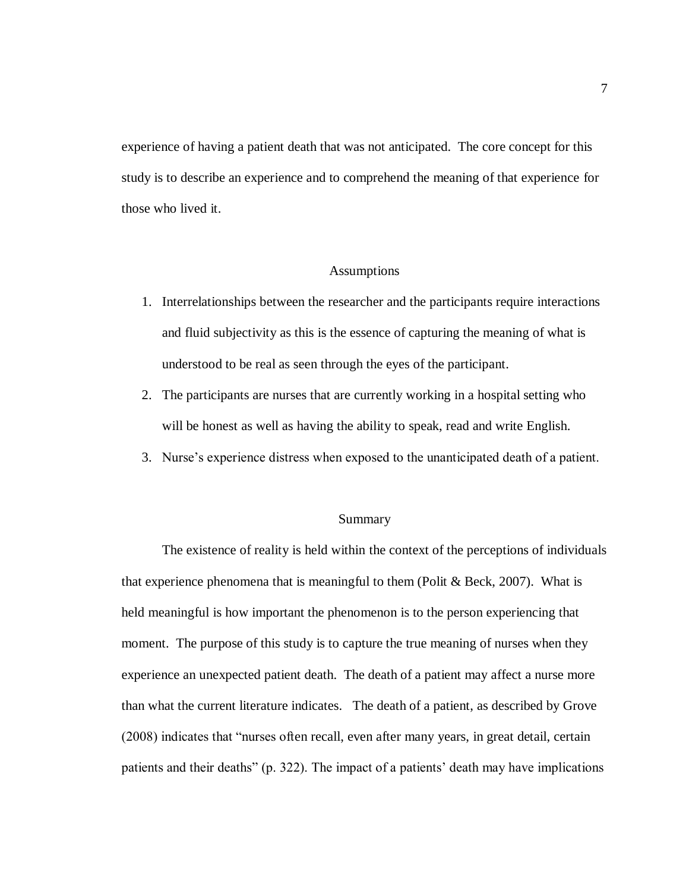experience of having a patient death that was not anticipated. The core concept for this study is to describe an experience and to comprehend the meaning of that experience for those who lived it.

#### Assumptions

- 1. Interrelationships between the researcher and the participants require interactions and fluid subjectivity as this is the essence of capturing the meaning of what is understood to be real as seen through the eyes of the participant.
- 2. The participants are nurses that are currently working in a hospital setting who will be honest as well as having the ability to speak, read and write English.
- 3. Nurse"s experience distress when exposed to the unanticipated death of a patient.

#### Summary

The existence of reality is held within the context of the perceptions of individuals that experience phenomena that is meaningful to them (Polit  $& Beck, 2007$ ). What is held meaningful is how important the phenomenon is to the person experiencing that moment. The purpose of this study is to capture the true meaning of nurses when they experience an unexpected patient death. The death of a patient may affect a nurse more than what the current literature indicates. The death of a patient, as described by Grove (2008) indicates that "nurses often recall, even after many years, in great detail, certain patients and their deaths" (p. 322). The impact of a patients' death may have implications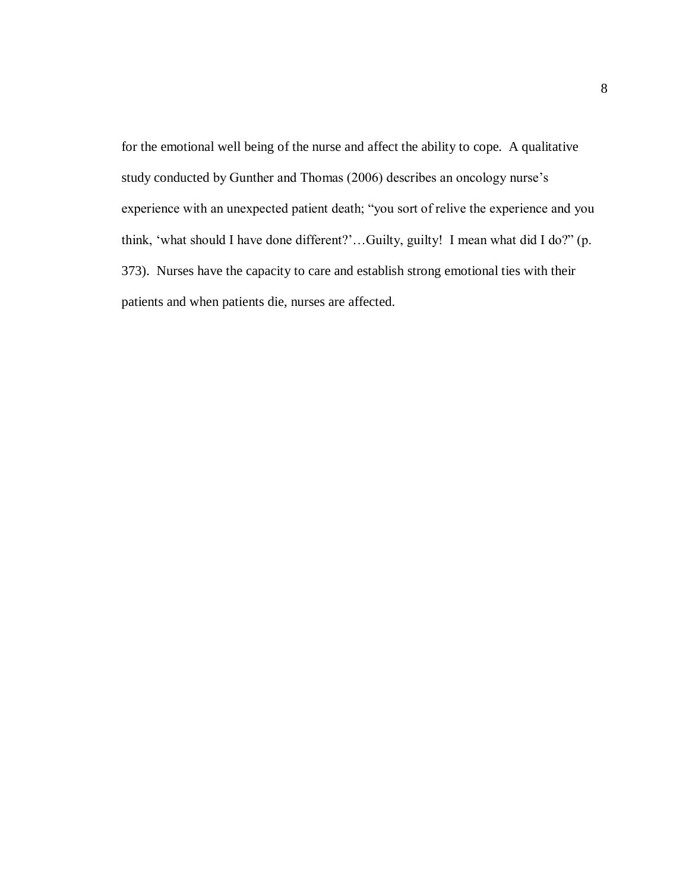for the emotional well being of the nurse and affect the ability to cope. A qualitative study conducted by Gunther and Thomas (2006) describes an oncology nurse's experience with an unexpected patient death; "you sort of relive the experience and you think, "what should I have done different?"…Guilty, guilty! I mean what did I do?" (p. 373). Nurses have the capacity to care and establish strong emotional ties with their patients and when patients die, nurses are affected.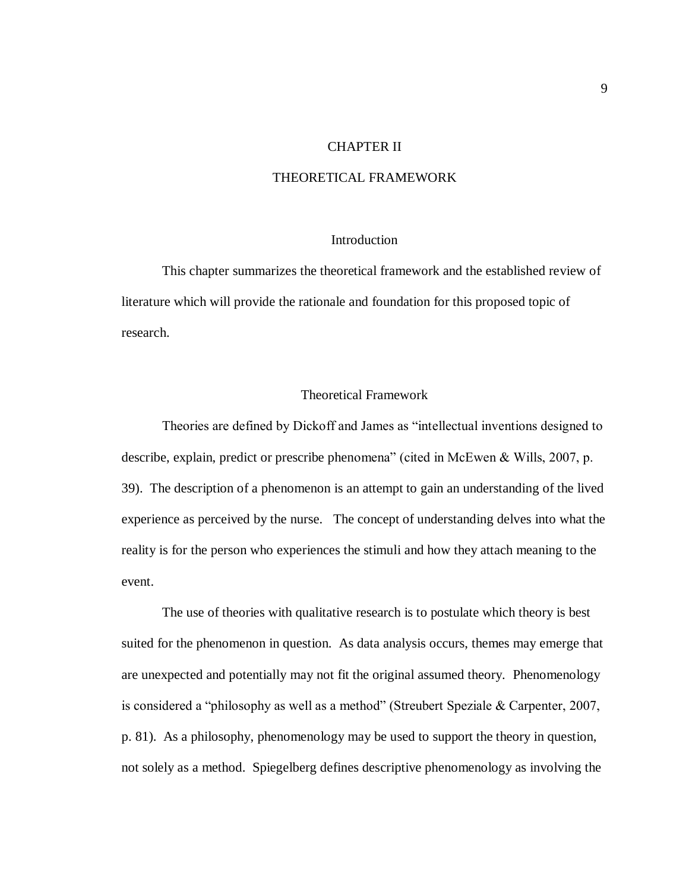#### CHAPTER II

#### THEORETICAL FRAMEWORK

#### Introduction

This chapter summarizes the theoretical framework and the established review of literature which will provide the rationale and foundation for this proposed topic of research.

#### Theoretical Framework

Theories are defined by Dickoff and James as "intellectual inventions designed to describe, explain, predict or prescribe phenomena" (cited in McEwen & Wills, 2007, p. 39). The description of a phenomenon is an attempt to gain an understanding of the lived experience as perceived by the nurse. The concept of understanding delves into what the reality is for the person who experiences the stimuli and how they attach meaning to the event.

The use of theories with qualitative research is to postulate which theory is best suited for the phenomenon in question. As data analysis occurs, themes may emerge that are unexpected and potentially may not fit the original assumed theory. Phenomenology is considered a "philosophy as well as a method" (Streubert Speziale & Carpenter, 2007, p. 81). As a philosophy, phenomenology may be used to support the theory in question, not solely as a method. Spiegelberg defines descriptive phenomenology as involving the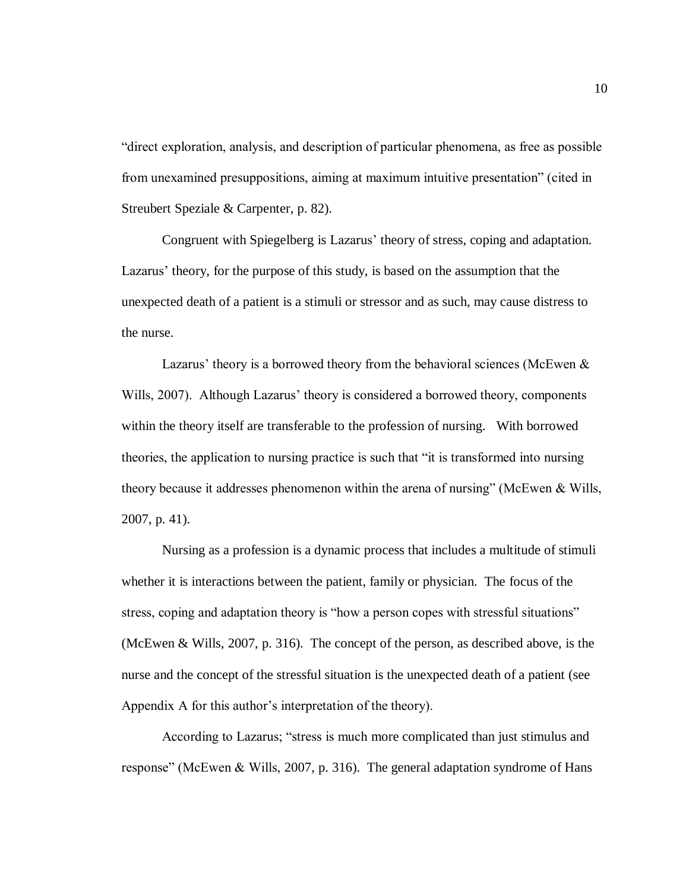"direct exploration, analysis, and description of particular phenomena, as free as possible from unexamined presuppositions, aiming at maximum intuitive presentation" (cited in Streubert Speziale & Carpenter, p. 82).

Congruent with Spiegelberg is Lazarus' theory of stress, coping and adaptation. Lazarus" theory, for the purpose of this study, is based on the assumption that the unexpected death of a patient is a stimuli or stressor and as such, may cause distress to the nurse.

Lazarus' theory is a borrowed theory from the behavioral sciences (McEwen  $\&$ Wills, 2007). Although Lazarus' theory is considered a borrowed theory, components within the theory itself are transferable to the profession of nursing. With borrowed theories, the application to nursing practice is such that "it is transformed into nursing theory because it addresses phenomenon within the arena of nursing" (McEwen & Wills, 2007, p. 41).

Nursing as a profession is a dynamic process that includes a multitude of stimuli whether it is interactions between the patient, family or physician. The focus of the stress, coping and adaptation theory is "how a person copes with stressful situations" (McEwen & Wills, 2007, p. 316). The concept of the person, as described above, is the nurse and the concept of the stressful situation is the unexpected death of a patient (see Appendix A for this author's interpretation of the theory).

According to Lazarus; "stress is much more complicated than just stimulus and response" (McEwen & Wills, 2007, p. 316). The general adaptation syndrome of Hans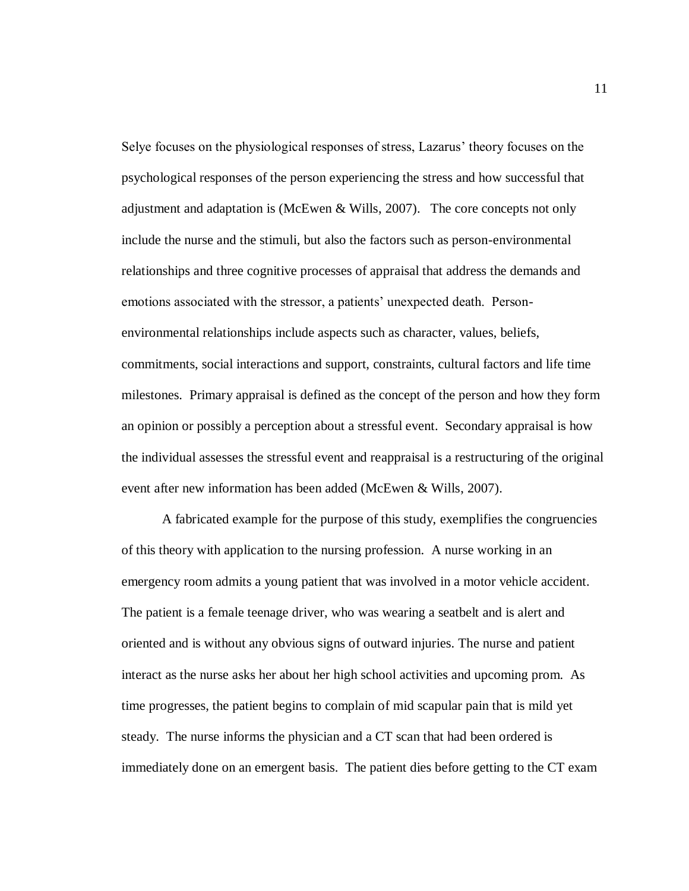Selye focuses on the physiological responses of stress, Lazarus" theory focuses on the psychological responses of the person experiencing the stress and how successful that adjustment and adaptation is (McEwen & Wills, 2007). The core concepts not only include the nurse and the stimuli, but also the factors such as person-environmental relationships and three cognitive processes of appraisal that address the demands and emotions associated with the stressor, a patients' unexpected death. Personenvironmental relationships include aspects such as character, values, beliefs, commitments, social interactions and support, constraints, cultural factors and life time milestones. Primary appraisal is defined as the concept of the person and how they form an opinion or possibly a perception about a stressful event. Secondary appraisal is how the individual assesses the stressful event and reappraisal is a restructuring of the original event after new information has been added (McEwen & Wills, 2007).

A fabricated example for the purpose of this study, exemplifies the congruencies of this theory with application to the nursing profession. A nurse working in an emergency room admits a young patient that was involved in a motor vehicle accident. The patient is a female teenage driver, who was wearing a seatbelt and is alert and oriented and is without any obvious signs of outward injuries. The nurse and patient interact as the nurse asks her about her high school activities and upcoming prom. As time progresses, the patient begins to complain of mid scapular pain that is mild yet steady. The nurse informs the physician and a CT scan that had been ordered is immediately done on an emergent basis. The patient dies before getting to the CT exam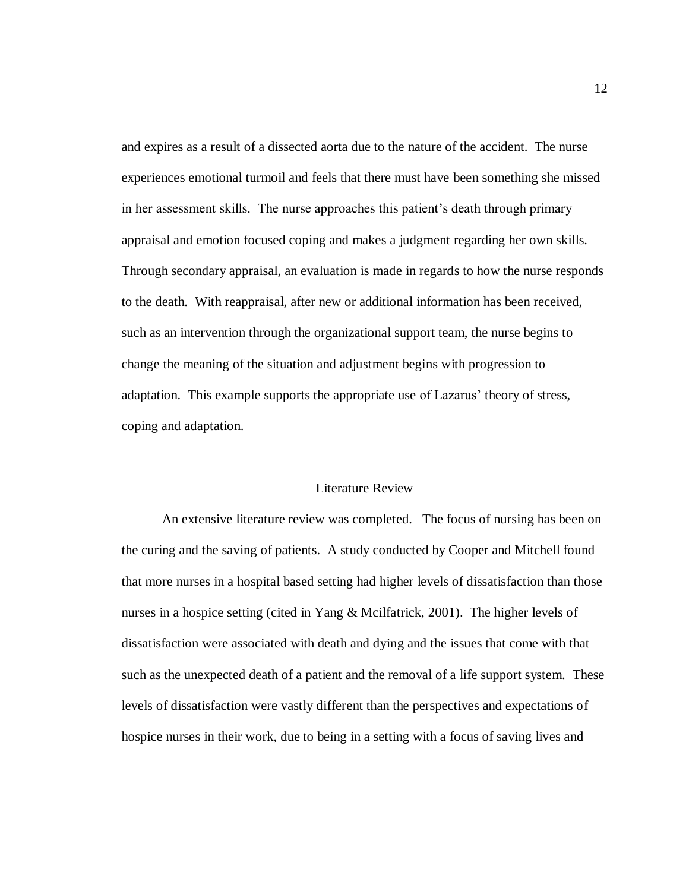and expires as a result of a dissected aorta due to the nature of the accident. The nurse experiences emotional turmoil and feels that there must have been something she missed in her assessment skills. The nurse approaches this patient's death through primary appraisal and emotion focused coping and makes a judgment regarding her own skills. Through secondary appraisal, an evaluation is made in regards to how the nurse responds to the death. With reappraisal, after new or additional information has been received, such as an intervention through the organizational support team, the nurse begins to change the meaning of the situation and adjustment begins with progression to adaptation. This example supports the appropriate use of Lazarus" theory of stress, coping and adaptation.

#### Literature Review

An extensive literature review was completed. The focus of nursing has been on the curing and the saving of patients. A study conducted by Cooper and Mitchell found that more nurses in a hospital based setting had higher levels of dissatisfaction than those nurses in a hospice setting (cited in Yang & Mcilfatrick, 2001). The higher levels of dissatisfaction were associated with death and dying and the issues that come with that such as the unexpected death of a patient and the removal of a life support system. These levels of dissatisfaction were vastly different than the perspectives and expectations of hospice nurses in their work, due to being in a setting with a focus of saving lives and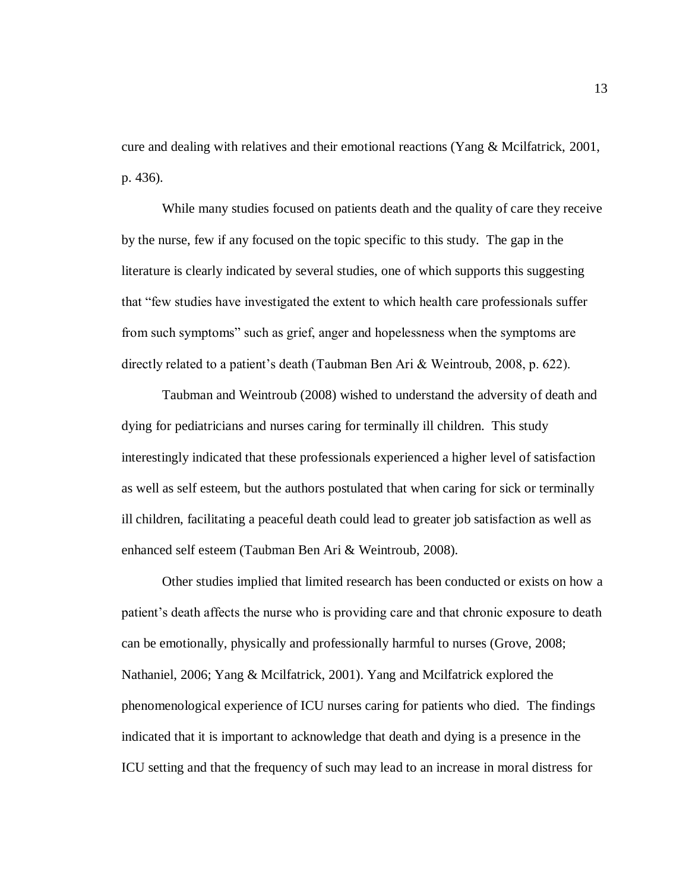cure and dealing with relatives and their emotional reactions (Yang & Mcilfatrick, 2001, p. 436).

While many studies focused on patients death and the quality of care they receive by the nurse, few if any focused on the topic specific to this study. The gap in the literature is clearly indicated by several studies, one of which supports this suggesting that "few studies have investigated the extent to which health care professionals suffer from such symptoms" such as grief, anger and hopelessness when the symptoms are directly related to a patient's death (Taubman Ben Ari & Weintroub, 2008, p. 622).

Taubman and Weintroub (2008) wished to understand the adversity of death and dying for pediatricians and nurses caring for terminally ill children. This study interestingly indicated that these professionals experienced a higher level of satisfaction as well as self esteem, but the authors postulated that when caring for sick or terminally ill children, facilitating a peaceful death could lead to greater job satisfaction as well as enhanced self esteem (Taubman Ben Ari & Weintroub, 2008).

Other studies implied that limited research has been conducted or exists on how a patient's death affects the nurse who is providing care and that chronic exposure to death can be emotionally, physically and professionally harmful to nurses (Grove, 2008; Nathaniel, 2006; Yang & Mcilfatrick, 2001). Yang and Mcilfatrick explored the phenomenological experience of ICU nurses caring for patients who died. The findings indicated that it is important to acknowledge that death and dying is a presence in the ICU setting and that the frequency of such may lead to an increase in moral distress for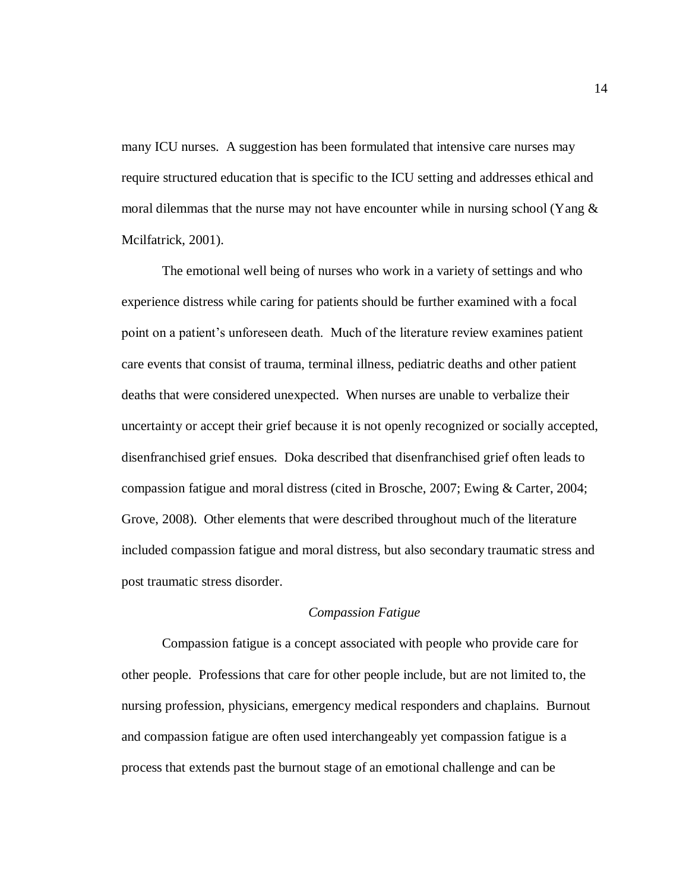many ICU nurses. A suggestion has been formulated that intensive care nurses may require structured education that is specific to the ICU setting and addresses ethical and moral dilemmas that the nurse may not have encounter while in nursing school (Yang  $\&$ Mcilfatrick, 2001).

The emotional well being of nurses who work in a variety of settings and who experience distress while caring for patients should be further examined with a focal point on a patient's unforeseen death. Much of the literature review examines patient care events that consist of trauma, terminal illness, pediatric deaths and other patient deaths that were considered unexpected. When nurses are unable to verbalize their uncertainty or accept their grief because it is not openly recognized or socially accepted, disenfranchised grief ensues. Doka described that disenfranchised grief often leads to compassion fatigue and moral distress (cited in Brosche, 2007; Ewing & Carter, 2004; Grove, 2008). Other elements that were described throughout much of the literature included compassion fatigue and moral distress, but also secondary traumatic stress and post traumatic stress disorder.

## *Compassion Fatigue*

Compassion fatigue is a concept associated with people who provide care for other people. Professions that care for other people include, but are not limited to, the nursing profession, physicians, emergency medical responders and chaplains. Burnout and compassion fatigue are often used interchangeably yet compassion fatigue is a process that extends past the burnout stage of an emotional challenge and can be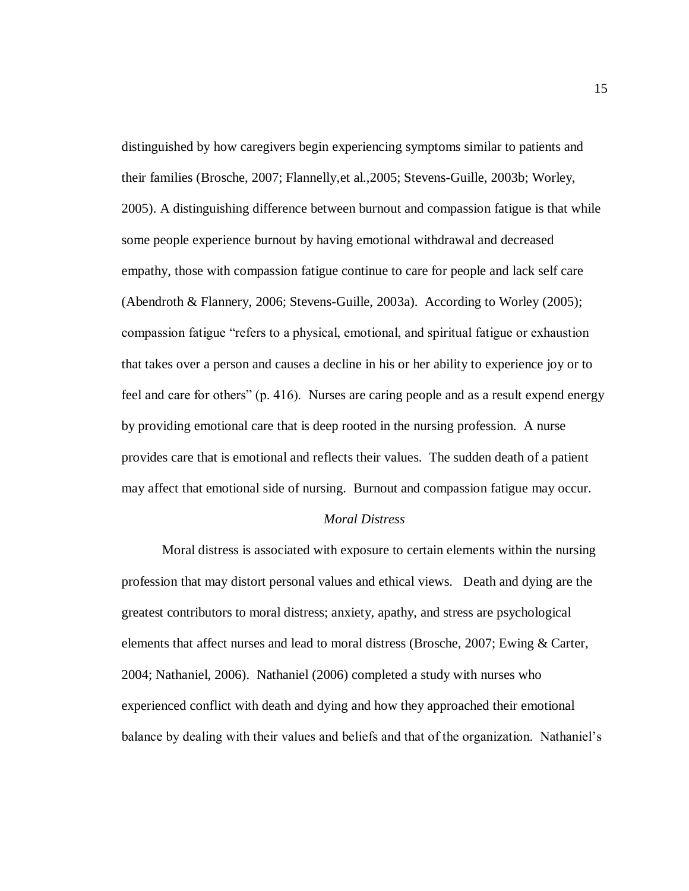distinguished by how caregivers begin experiencing symptoms similar to patients and their families (Brosche, 2007; Flannelly,et al.,2005; Stevens-Guille, 2003b; Worley, 2005). A distinguishing difference between burnout and compassion fatigue is that while some people experience burnout by having emotional withdrawal and decreased empathy, those with compassion fatigue continue to care for people and lack self care (Abendroth & Flannery, 2006; Stevens-Guille, 2003a). According to Worley (2005); compassion fatigue "refers to a physical, emotional, and spiritual fatigue or exhaustion that takes over a person and causes a decline in his or her ability to experience joy or to feel and care for others" (p. 416). Nurses are caring people and as a result expend energy by providing emotional care that is deep rooted in the nursing profession. A nurse provides care that is emotional and reflects their values. The sudden death of a patient may affect that emotional side of nursing. Burnout and compassion fatigue may occur.

#### *Moral Distress*

Moral distress is associated with exposure to certain elements within the nursing profession that may distort personal values and ethical views. Death and dying are the greatest contributors to moral distress; anxiety, apathy, and stress are psychological elements that affect nurses and lead to moral distress (Brosche, 2007; Ewing & Carter, 2004; Nathaniel, 2006). Nathaniel (2006) completed a study with nurses who experienced conflict with death and dying and how they approached their emotional balance by dealing with their values and beliefs and that of the organization. Nathaniel's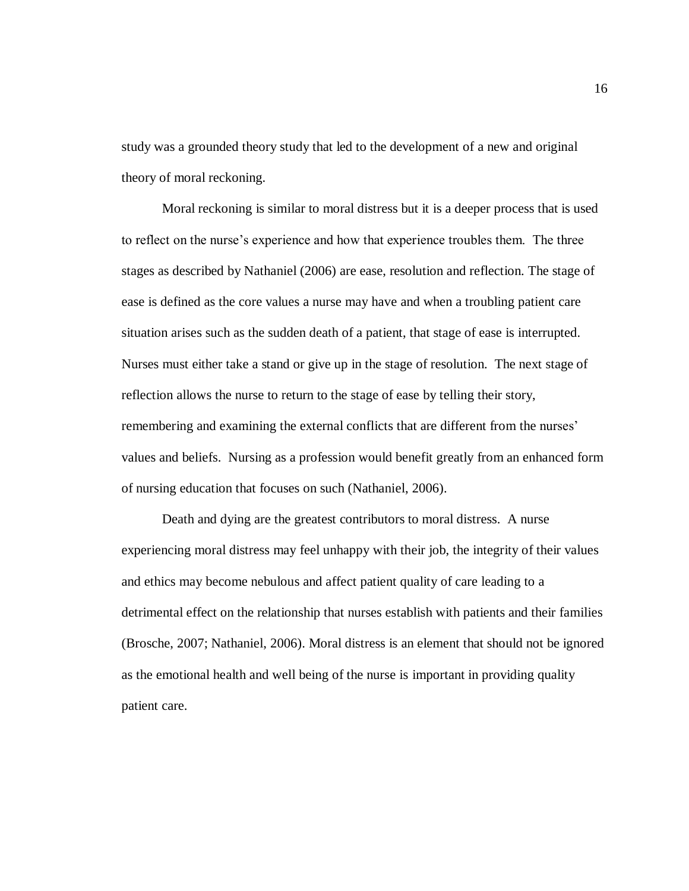study was a grounded theory study that led to the development of a new and original theory of moral reckoning.

Moral reckoning is similar to moral distress but it is a deeper process that is used to reflect on the nurse"s experience and how that experience troubles them. The three stages as described by Nathaniel (2006) are ease, resolution and reflection. The stage of ease is defined as the core values a nurse may have and when a troubling patient care situation arises such as the sudden death of a patient, that stage of ease is interrupted. Nurses must either take a stand or give up in the stage of resolution. The next stage of reflection allows the nurse to return to the stage of ease by telling their story, remembering and examining the external conflicts that are different from the nurses' values and beliefs. Nursing as a profession would benefit greatly from an enhanced form of nursing education that focuses on such (Nathaniel, 2006).

Death and dying are the greatest contributors to moral distress. A nurse experiencing moral distress may feel unhappy with their job, the integrity of their values and ethics may become nebulous and affect patient quality of care leading to a detrimental effect on the relationship that nurses establish with patients and their families (Brosche, 2007; Nathaniel, 2006). Moral distress is an element that should not be ignored as the emotional health and well being of the nurse is important in providing quality patient care.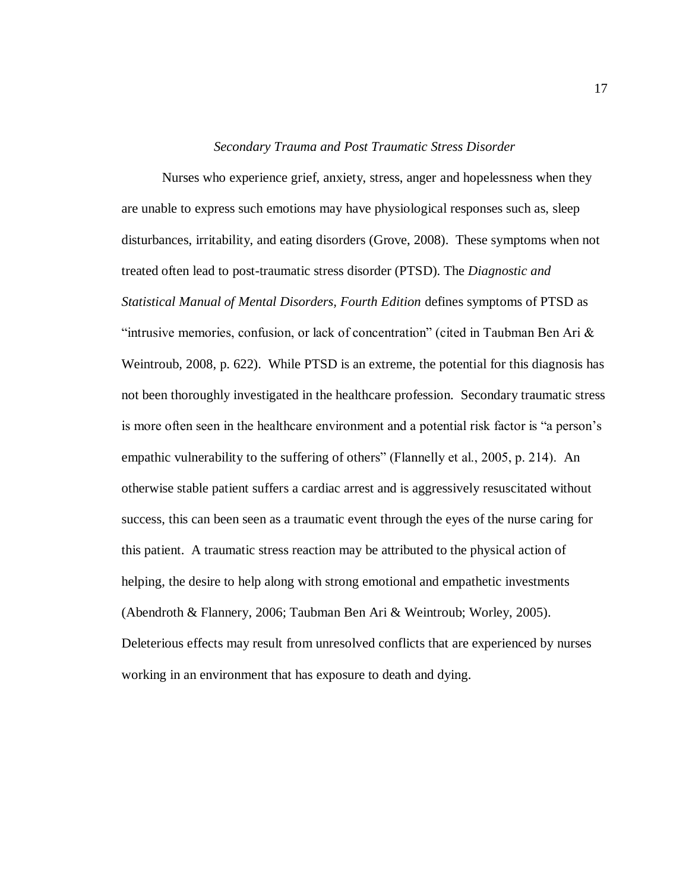#### *Secondary Trauma and Post Traumatic Stress Disorder*

Nurses who experience grief, anxiety, stress, anger and hopelessness when they are unable to express such emotions may have physiological responses such as, sleep disturbances, irritability, and eating disorders (Grove, 2008). These symptoms when not treated often lead to post-traumatic stress disorder (PTSD). The *Diagnostic and Statistical Manual of Mental Disorders, Fourth Edition* defines symptoms of PTSD as "intrusive memories, confusion, or lack of concentration" (cited in Taubman Ben Ari  $\&$ Weintroub, 2008, p. 622). While PTSD is an extreme, the potential for this diagnosis has not been thoroughly investigated in the healthcare profession. Secondary traumatic stress is more often seen in the healthcare environment and a potential risk factor is "a person's empathic vulnerability to the suffering of others" (Flannelly et al., 2005, p. 214). An otherwise stable patient suffers a cardiac arrest and is aggressively resuscitated without success, this can been seen as a traumatic event through the eyes of the nurse caring for this patient. A traumatic stress reaction may be attributed to the physical action of helping, the desire to help along with strong emotional and empathetic investments (Abendroth & Flannery, 2006; Taubman Ben Ari & Weintroub; Worley, 2005). Deleterious effects may result from unresolved conflicts that are experienced by nurses working in an environment that has exposure to death and dying.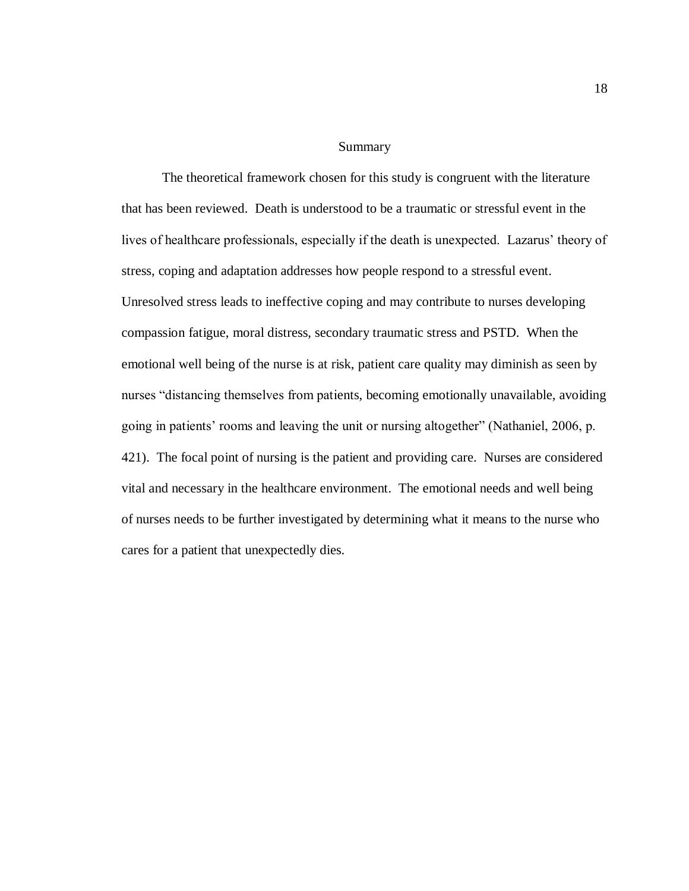Summary

The theoretical framework chosen for this study is congruent with the literature that has been reviewed. Death is understood to be a traumatic or stressful event in the lives of healthcare professionals, especially if the death is unexpected. Lazarus' theory of stress, coping and adaptation addresses how people respond to a stressful event. Unresolved stress leads to ineffective coping and may contribute to nurses developing compassion fatigue, moral distress, secondary traumatic stress and PSTD. When the emotional well being of the nurse is at risk, patient care quality may diminish as seen by nurses "distancing themselves from patients, becoming emotionally unavailable, avoiding going in patients" rooms and leaving the unit or nursing altogether" (Nathaniel, 2006, p. 421). The focal point of nursing is the patient and providing care. Nurses are considered vital and necessary in the healthcare environment. The emotional needs and well being of nurses needs to be further investigated by determining what it means to the nurse who cares for a patient that unexpectedly dies.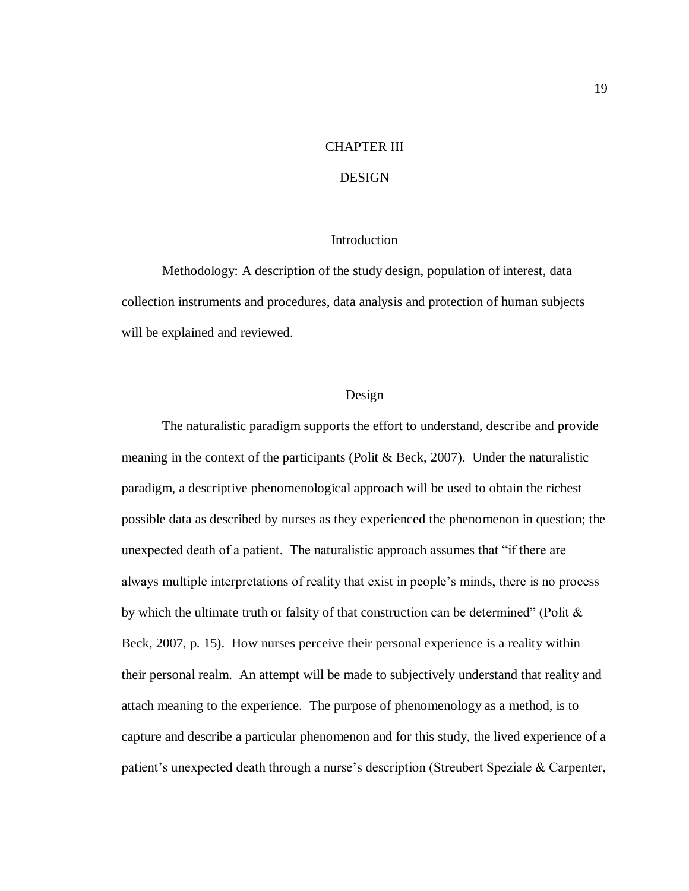#### CHAPTER III

## DESIGN

#### Introduction

Methodology: A description of the study design, population of interest, data collection instruments and procedures, data analysis and protection of human subjects will be explained and reviewed.

#### Design

The naturalistic paradigm supports the effort to understand, describe and provide meaning in the context of the participants (Polit & Beck, 2007). Under the naturalistic paradigm, a descriptive phenomenological approach will be used to obtain the richest possible data as described by nurses as they experienced the phenomenon in question; the unexpected death of a patient. The naturalistic approach assumes that "if there are always multiple interpretations of reality that exist in people"s minds, there is no process by which the ultimate truth or falsity of that construction can be determined" (Polit  $\&$ Beck, 2007, p. 15). How nurses perceive their personal experience is a reality within their personal realm. An attempt will be made to subjectively understand that reality and attach meaning to the experience. The purpose of phenomenology as a method, is to capture and describe a particular phenomenon and for this study, the lived experience of a patient's unexpected death through a nurse's description (Streubert Speziale & Carpenter,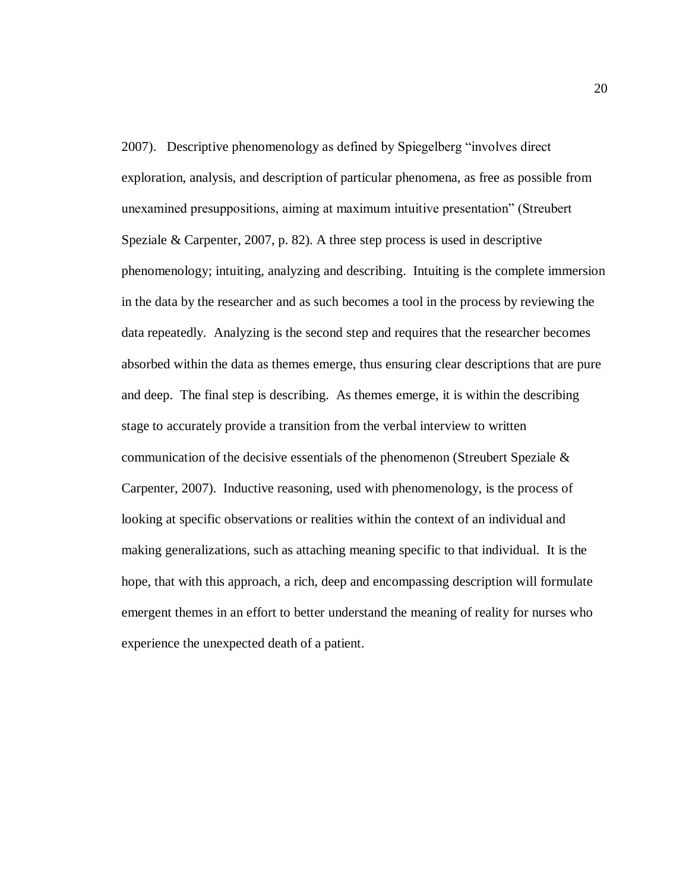2007). Descriptive phenomenology as defined by Spiegelberg "involves direct exploration, analysis, and description of particular phenomena, as free as possible from unexamined presuppositions, aiming at maximum intuitive presentation" (Streubert Speziale & Carpenter, 2007, p. 82). A three step process is used in descriptive phenomenology; intuiting, analyzing and describing. Intuiting is the complete immersion in the data by the researcher and as such becomes a tool in the process by reviewing the data repeatedly. Analyzing is the second step and requires that the researcher becomes absorbed within the data as themes emerge, thus ensuring clear descriptions that are pure and deep. The final step is describing. As themes emerge, it is within the describing stage to accurately provide a transition from the verbal interview to written communication of the decisive essentials of the phenomenon (Streubert Speziale & Carpenter, 2007). Inductive reasoning, used with phenomenology, is the process of looking at specific observations or realities within the context of an individual and making generalizations, such as attaching meaning specific to that individual. It is the hope, that with this approach, a rich, deep and encompassing description will formulate emergent themes in an effort to better understand the meaning of reality for nurses who experience the unexpected death of a patient.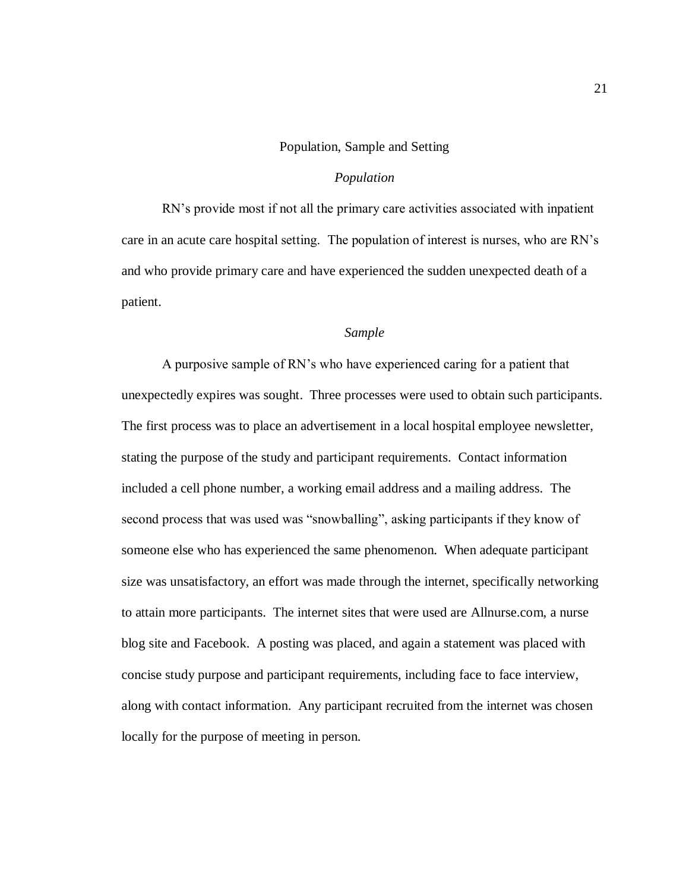#### Population, Sample and Setting

#### *Population*

RN"s provide most if not all the primary care activities associated with inpatient care in an acute care hospital setting. The population of interest is nurses, who are RN"s and who provide primary care and have experienced the sudden unexpected death of a patient.

#### *Sample*

A purposive sample of RN"s who have experienced caring for a patient that unexpectedly expires was sought. Three processes were used to obtain such participants. The first process was to place an advertisement in a local hospital employee newsletter, stating the purpose of the study and participant requirements. Contact information included a cell phone number, a working email address and a mailing address. The second process that was used was "snowballing", asking participants if they know of someone else who has experienced the same phenomenon. When adequate participant size was unsatisfactory, an effort was made through the internet, specifically networking to attain more participants. The internet sites that were used are Allnurse.com, a nurse blog site and Facebook. A posting was placed, and again a statement was placed with concise study purpose and participant requirements, including face to face interview, along with contact information. Any participant recruited from the internet was chosen locally for the purpose of meeting in person.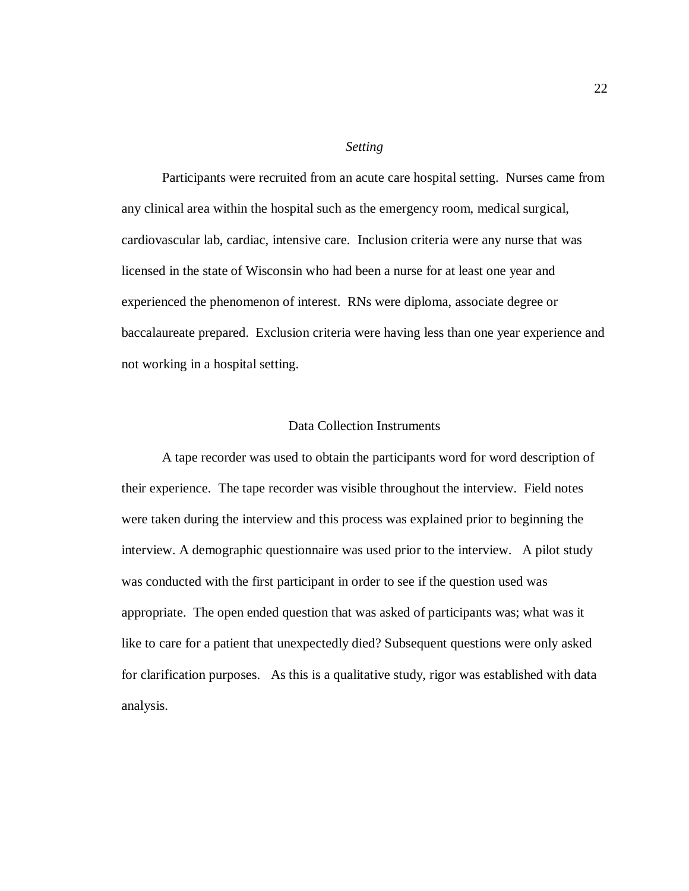#### *Setting*

Participants were recruited from an acute care hospital setting. Nurses came from any clinical area within the hospital such as the emergency room, medical surgical, cardiovascular lab, cardiac, intensive care. Inclusion criteria were any nurse that was licensed in the state of Wisconsin who had been a nurse for at least one year and experienced the phenomenon of interest. RNs were diploma, associate degree or baccalaureate prepared. Exclusion criteria were having less than one year experience and not working in a hospital setting.

## Data Collection Instruments

A tape recorder was used to obtain the participants word for word description of their experience. The tape recorder was visible throughout the interview. Field notes were taken during the interview and this process was explained prior to beginning the interview. A demographic questionnaire was used prior to the interview. A pilot study was conducted with the first participant in order to see if the question used was appropriate. The open ended question that was asked of participants was; what was it like to care for a patient that unexpectedly died? Subsequent questions were only asked for clarification purposes. As this is a qualitative study, rigor was established with data analysis.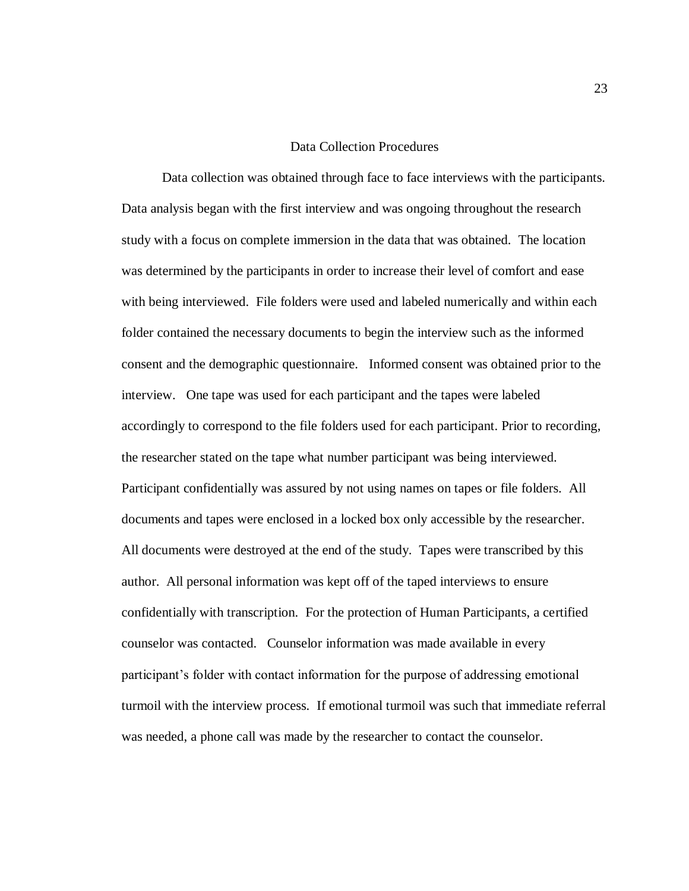#### Data Collection Procedures

Data collection was obtained through face to face interviews with the participants. Data analysis began with the first interview and was ongoing throughout the research study with a focus on complete immersion in the data that was obtained. The location was determined by the participants in order to increase their level of comfort and ease with being interviewed. File folders were used and labeled numerically and within each folder contained the necessary documents to begin the interview such as the informed consent and the demographic questionnaire. Informed consent was obtained prior to the interview. One tape was used for each participant and the tapes were labeled accordingly to correspond to the file folders used for each participant. Prior to recording, the researcher stated on the tape what number participant was being interviewed. Participant confidentially was assured by not using names on tapes or file folders. All documents and tapes were enclosed in a locked box only accessible by the researcher. All documents were destroyed at the end of the study. Tapes were transcribed by this author. All personal information was kept off of the taped interviews to ensure confidentially with transcription. For the protection of Human Participants, a certified counselor was contacted. Counselor information was made available in every participant"s folder with contact information for the purpose of addressing emotional turmoil with the interview process. If emotional turmoil was such that immediate referral was needed, a phone call was made by the researcher to contact the counselor.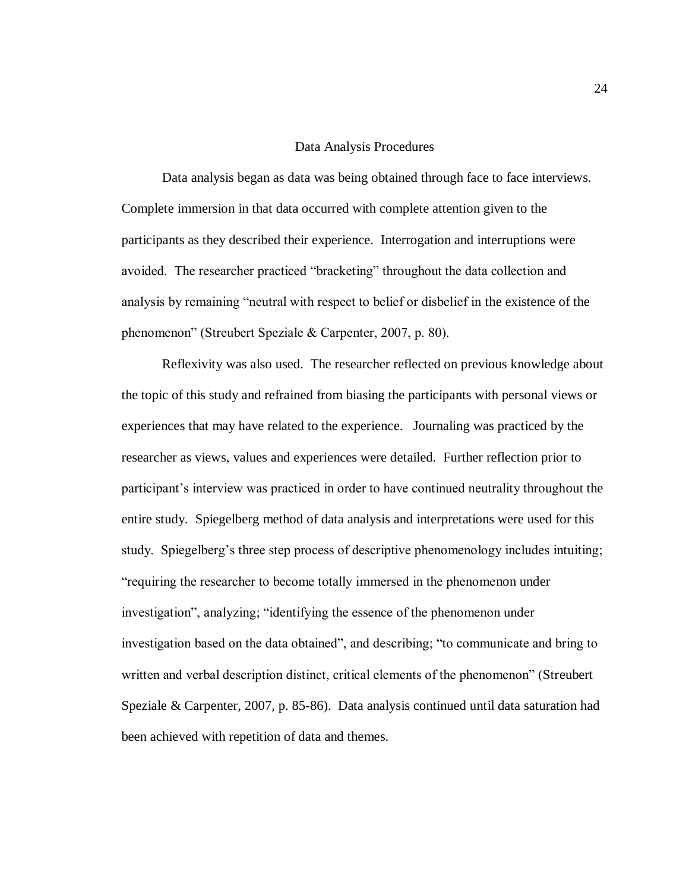#### Data Analysis Procedures

Data analysis began as data was being obtained through face to face interviews. Complete immersion in that data occurred with complete attention given to the participants as they described their experience. Interrogation and interruptions were avoided. The researcher practiced "bracketing" throughout the data collection and analysis by remaining "neutral with respect to belief or disbelief in the existence of the phenomenon" (Streubert Speziale & Carpenter, 2007, p. 80).

Reflexivity was also used. The researcher reflected on previous knowledge about the topic of this study and refrained from biasing the participants with personal views or experiences that may have related to the experience. Journaling was practiced by the researcher as views, values and experiences were detailed. Further reflection prior to participant"s interview was practiced in order to have continued neutrality throughout the entire study. Spiegelberg method of data analysis and interpretations were used for this study. Spiegelberg's three step process of descriptive phenomenology includes intuiting; "requiring the researcher to become totally immersed in the phenomenon under investigation", analyzing; "identifying the essence of the phenomenon under investigation based on the data obtained", and describing; "to communicate and bring to written and verbal description distinct, critical elements of the phenomenon" (Streubert Speziale & Carpenter, 2007, p. 85-86). Data analysis continued until data saturation had been achieved with repetition of data and themes.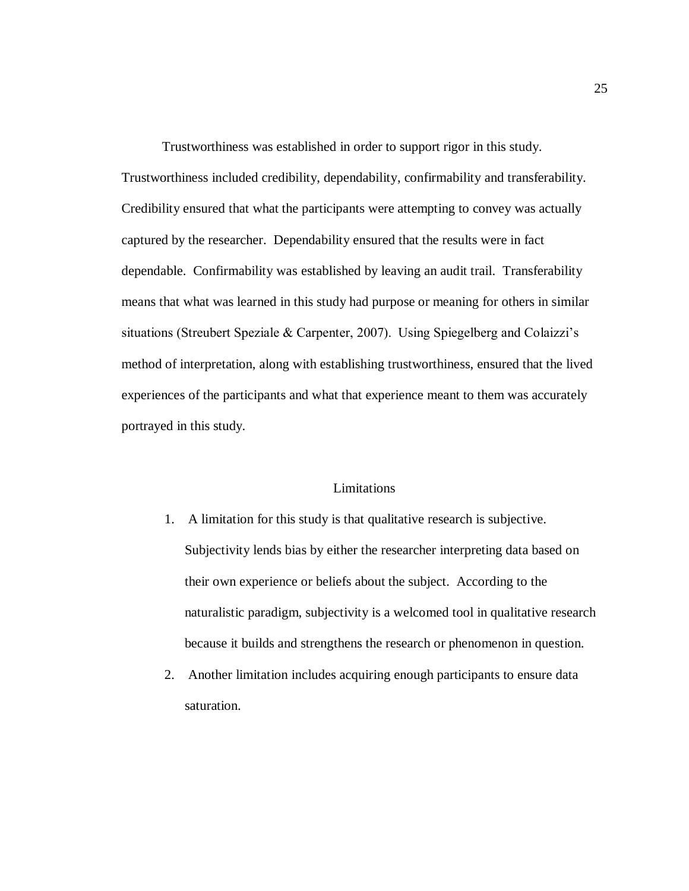Trustworthiness was established in order to support rigor in this study. Trustworthiness included credibility, dependability, confirmability and transferability. Credibility ensured that what the participants were attempting to convey was actually captured by the researcher. Dependability ensured that the results were in fact dependable. Confirmability was established by leaving an audit trail. Transferability means that what was learned in this study had purpose or meaning for others in similar situations (Streubert Speziale & Carpenter, 2007). Using Spiegelberg and Colaizzi's method of interpretation, along with establishing trustworthiness, ensured that the lived experiences of the participants and what that experience meant to them was accurately portrayed in this study.

## Limitations

- 1. A limitation for this study is that qualitative research is subjective. Subjectivity lends bias by either the researcher interpreting data based on their own experience or beliefs about the subject. According to the naturalistic paradigm, subjectivity is a welcomed tool in qualitative research because it builds and strengthens the research or phenomenon in question.
- 2. Another limitation includes acquiring enough participants to ensure data saturation.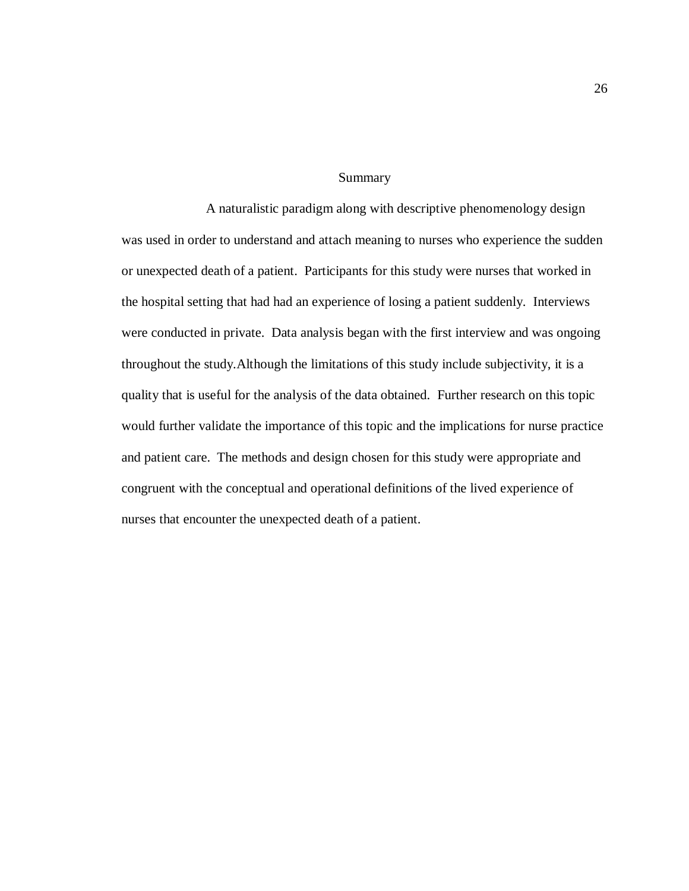#### Summary

A naturalistic paradigm along with descriptive phenomenology design was used in order to understand and attach meaning to nurses who experience the sudden or unexpected death of a patient. Participants for this study were nurses that worked in the hospital setting that had had an experience of losing a patient suddenly. Interviews were conducted in private. Data analysis began with the first interview and was ongoing throughout the study.Although the limitations of this study include subjectivity, it is a quality that is useful for the analysis of the data obtained. Further research on this topic would further validate the importance of this topic and the implications for nurse practice and patient care. The methods and design chosen for this study were appropriate and congruent with the conceptual and operational definitions of the lived experience of nurses that encounter the unexpected death of a patient.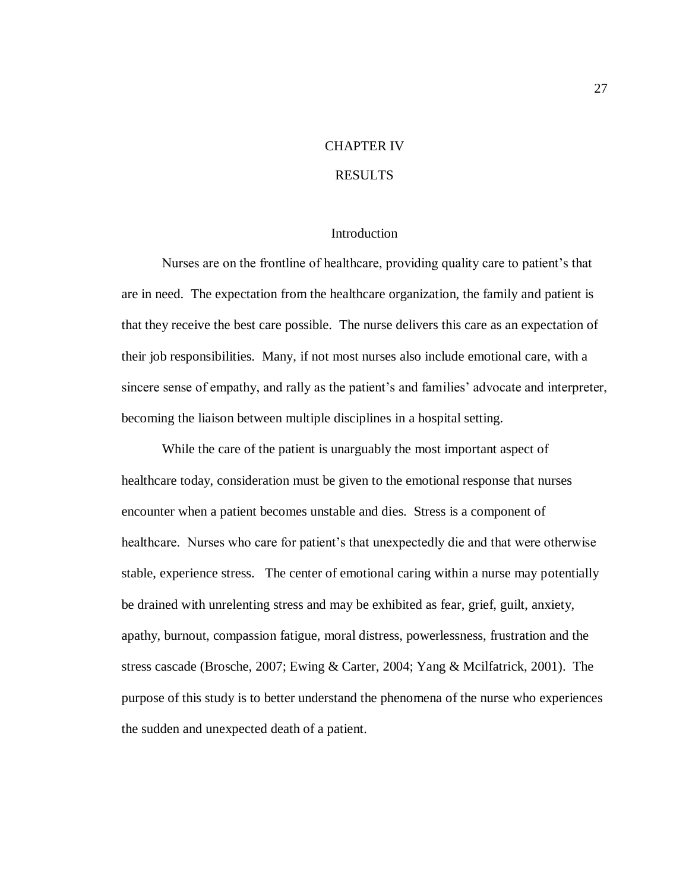# CHAPTER IV

## RESULTS

#### Introduction

Nurses are on the frontline of healthcare, providing quality care to patient's that are in need. The expectation from the healthcare organization, the family and patient is that they receive the best care possible. The nurse delivers this care as an expectation of their job responsibilities. Many, if not most nurses also include emotional care, with a sincere sense of empathy, and rally as the patient's and families' advocate and interpreter, becoming the liaison between multiple disciplines in a hospital setting.

While the care of the patient is unarguably the most important aspect of healthcare today, consideration must be given to the emotional response that nurses encounter when a patient becomes unstable and dies. Stress is a component of healthcare. Nurses who care for patient's that unexpectedly die and that were otherwise stable, experience stress. The center of emotional caring within a nurse may potentially be drained with unrelenting stress and may be exhibited as fear, grief, guilt, anxiety, apathy, burnout, compassion fatigue, moral distress, powerlessness, frustration and the stress cascade (Brosche, 2007; Ewing & Carter, 2004; Yang & Mcilfatrick, 2001). The purpose of this study is to better understand the phenomena of the nurse who experiences the sudden and unexpected death of a patient.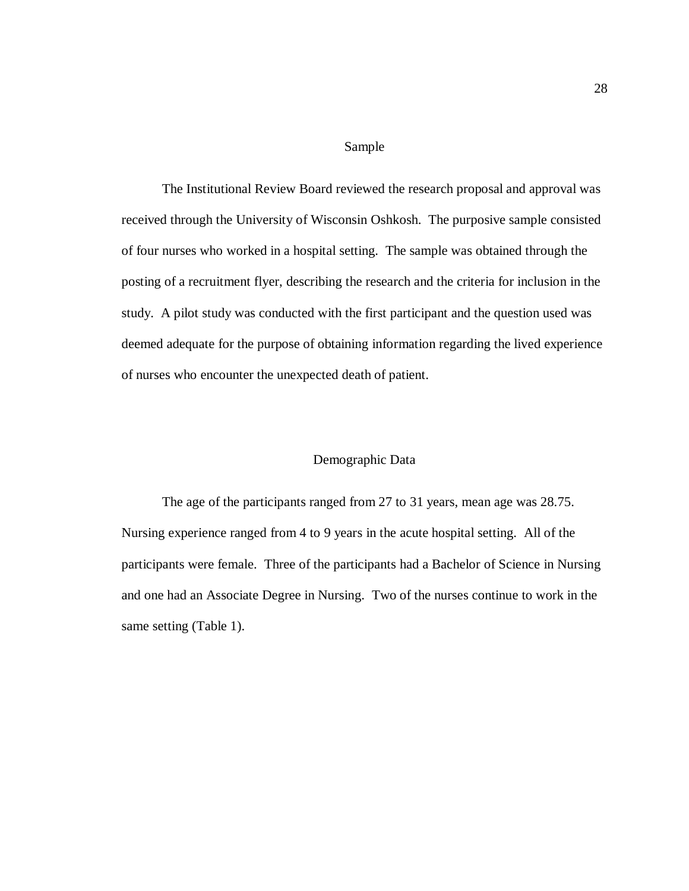#### Sample

The Institutional Review Board reviewed the research proposal and approval was received through the University of Wisconsin Oshkosh. The purposive sample consisted of four nurses who worked in a hospital setting. The sample was obtained through the posting of a recruitment flyer, describing the research and the criteria for inclusion in the study. A pilot study was conducted with the first participant and the question used was deemed adequate for the purpose of obtaining information regarding the lived experience of nurses who encounter the unexpected death of patient.

#### Demographic Data

The age of the participants ranged from 27 to 31 years, mean age was 28.75. Nursing experience ranged from 4 to 9 years in the acute hospital setting. All of the participants were female. Three of the participants had a Bachelor of Science in Nursing and one had an Associate Degree in Nursing. Two of the nurses continue to work in the same setting (Table 1).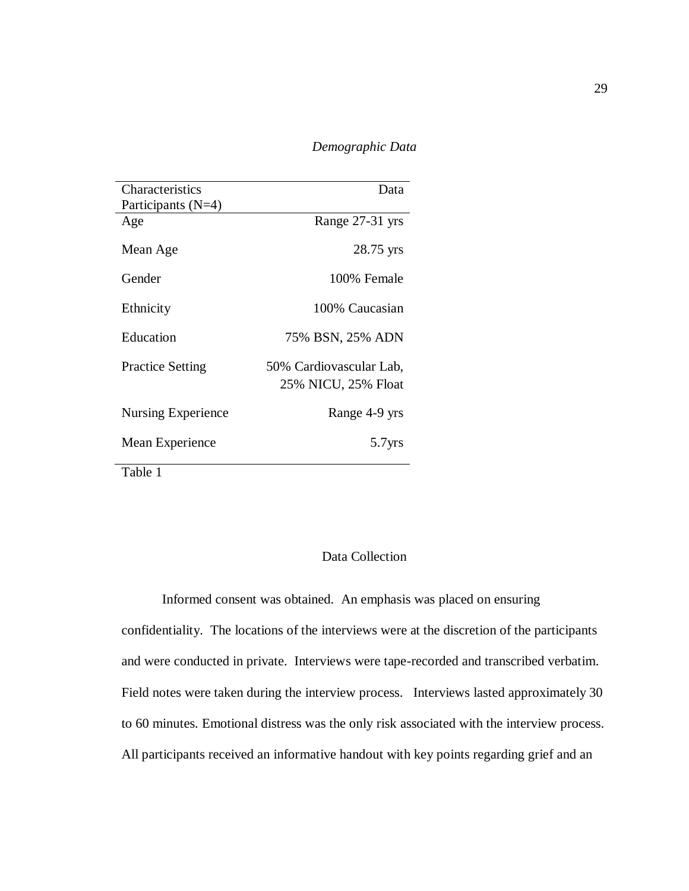*Demographic Data*

| Characteristics         | Data                                           |
|-------------------------|------------------------------------------------|
| Participants $(N=4)$    |                                                |
| Age                     | Range 27-31 yrs                                |
| Mean Age                | 28.75 yrs                                      |
| Gender                  | 100% Female                                    |
| Ethnicity               | 100% Caucasian                                 |
| Education               | 75% BSN, 25% ADN                               |
| <b>Practice Setting</b> | 50% Cardiovascular Lab,<br>25% NICU, 25% Float |
| Nursing Experience      | Range 4-9 yrs                                  |
| Mean Experience         | 5.7yrs                                         |
| Table 1                 |                                                |

## Data Collection

Informed consent was obtained. An emphasis was placed on ensuring confidentiality. The locations of the interviews were at the discretion of the participants and were conducted in private. Interviews were tape-recorded and transcribed verbatim. Field notes were taken during the interview process. Interviews lasted approximately 30 to 60 minutes. Emotional distress was the only risk associated with the interview process. All participants received an informative handout with key points regarding grief and an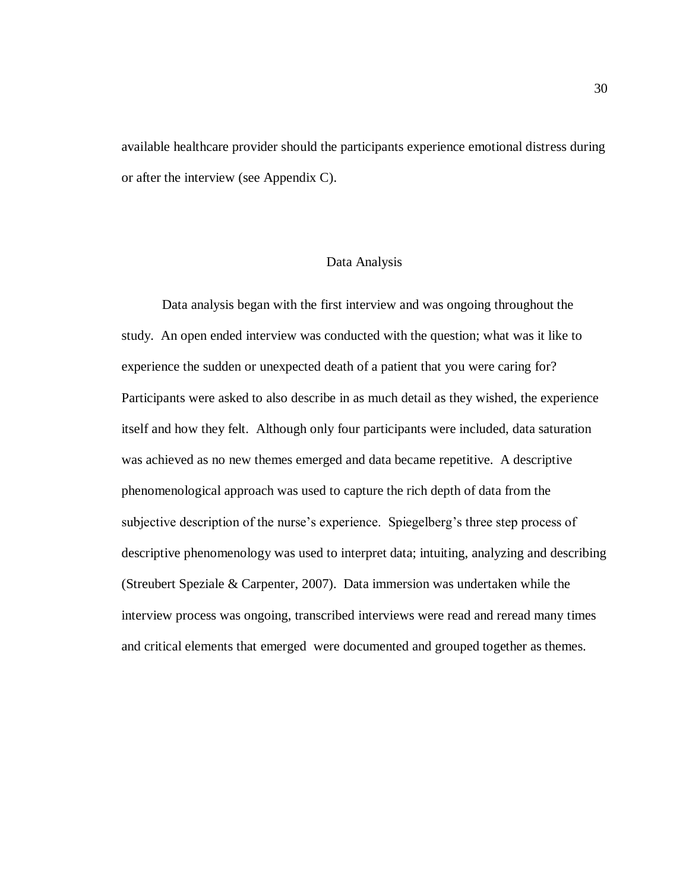available healthcare provider should the participants experience emotional distress during or after the interview (see Appendix C).

## Data Analysis

Data analysis began with the first interview and was ongoing throughout the study. An open ended interview was conducted with the question; what was it like to experience the sudden or unexpected death of a patient that you were caring for? Participants were asked to also describe in as much detail as they wished, the experience itself and how they felt. Although only four participants were included, data saturation was achieved as no new themes emerged and data became repetitive. A descriptive phenomenological approach was used to capture the rich depth of data from the subjective description of the nurse's experience. Spiegelberg's three step process of descriptive phenomenology was used to interpret data; intuiting, analyzing and describing (Streubert Speziale & Carpenter, 2007). Data immersion was undertaken while the interview process was ongoing, transcribed interviews were read and reread many times and critical elements that emerged were documented and grouped together as themes.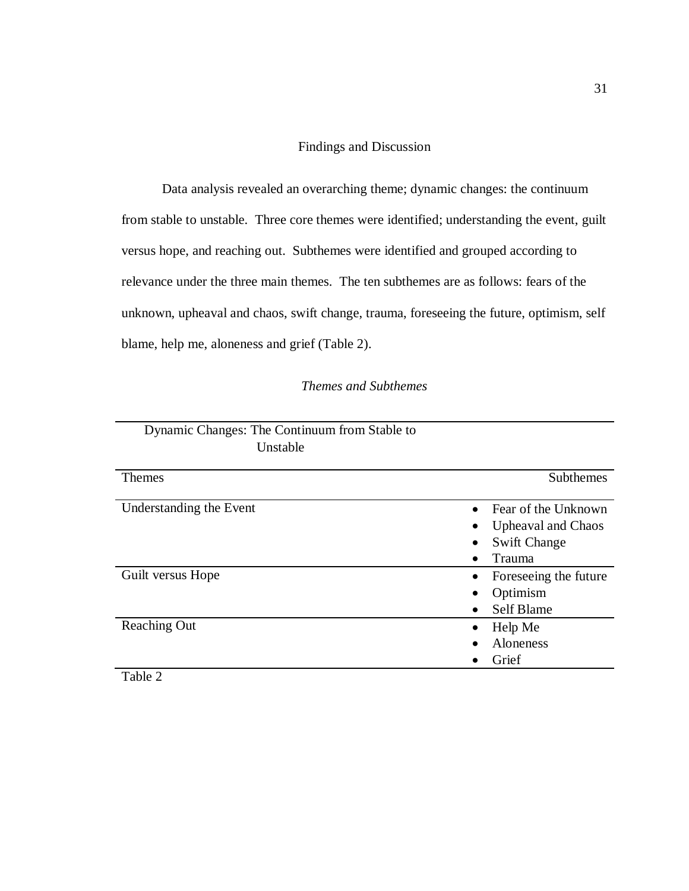Findings and Discussion

Data analysis revealed an overarching theme; dynamic changes: the continuum from stable to unstable. Three core themes were identified; understanding the event, guilt versus hope, and reaching out. Subthemes were identified and grouped according to relevance under the three main themes. The ten subthemes are as follows: fears of the unknown, upheaval and chaos, swift change, trauma, foreseeing the future, optimism, self blame, help me, aloneness and grief (Table 2).

## *Themes and Subthemes*

| Dynamic Changes: The Continuum from Stable to<br>Unstable |                                                                                   |
|-----------------------------------------------------------|-----------------------------------------------------------------------------------|
| <b>Themes</b>                                             | Subthemes                                                                         |
| Understanding the Event                                   | Fear of the Unknown<br><b>Upheaval and Chaos</b><br><b>Swift Change</b><br>Trauma |
| Guilt versus Hope                                         | Foreseeing the future<br>Optimism<br>Self Blame                                   |
| <b>Reaching Out</b>                                       | Help Me<br><b>Aloneness</b><br>Grief                                              |

Table 2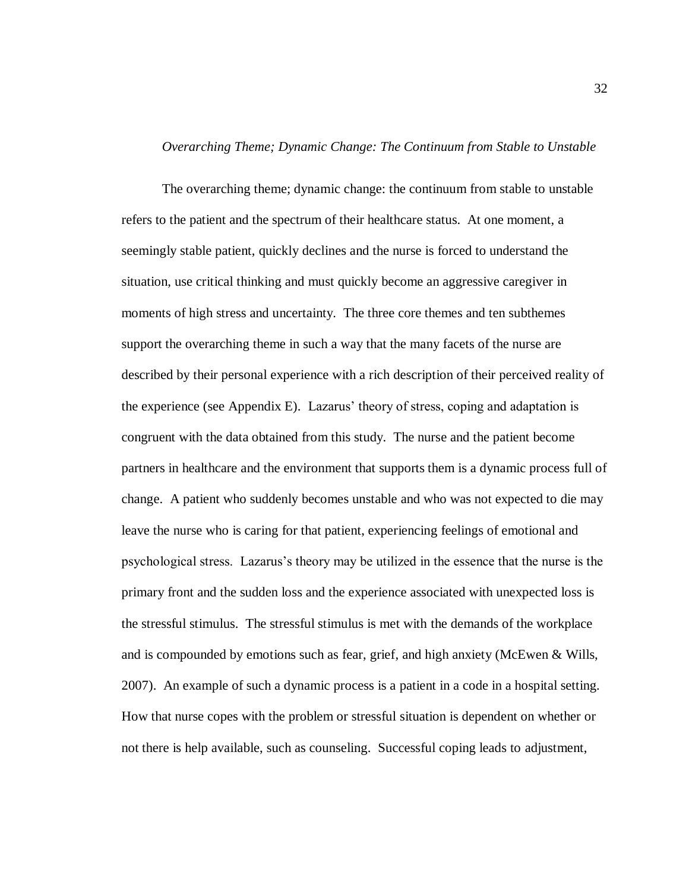## *Overarching Theme; Dynamic Change: The Continuum from Stable to Unstable*

The overarching theme; dynamic change: the continuum from stable to unstable refers to the patient and the spectrum of their healthcare status. At one moment, a seemingly stable patient, quickly declines and the nurse is forced to understand the situation, use critical thinking and must quickly become an aggressive caregiver in moments of high stress and uncertainty. The three core themes and ten subthemes support the overarching theme in such a way that the many facets of the nurse are described by their personal experience with a rich description of their perceived reality of the experience (see Appendix E). Lazarus" theory of stress, coping and adaptation is congruent with the data obtained from this study. The nurse and the patient become partners in healthcare and the environment that supports them is a dynamic process full of change. A patient who suddenly becomes unstable and who was not expected to die may leave the nurse who is caring for that patient, experiencing feelings of emotional and psychological stress. Lazarus"s theory may be utilized in the essence that the nurse is the primary front and the sudden loss and the experience associated with unexpected loss is the stressful stimulus. The stressful stimulus is met with the demands of the workplace and is compounded by emotions such as fear, grief, and high anxiety (McEwen & Wills, 2007). An example of such a dynamic process is a patient in a code in a hospital setting. How that nurse copes with the problem or stressful situation is dependent on whether or not there is help available, such as counseling. Successful coping leads to adjustment,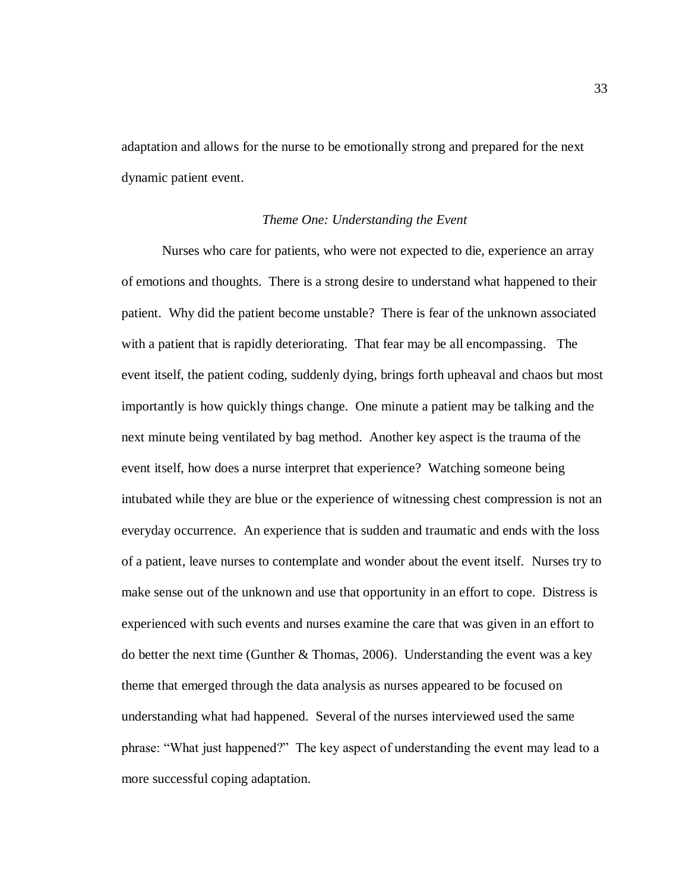adaptation and allows for the nurse to be emotionally strong and prepared for the next dynamic patient event.

## *Theme One: Understanding the Event*

Nurses who care for patients, who were not expected to die, experience an array of emotions and thoughts. There is a strong desire to understand what happened to their patient. Why did the patient become unstable? There is fear of the unknown associated with a patient that is rapidly deteriorating. That fear may be all encompassing. The event itself, the patient coding, suddenly dying, brings forth upheaval and chaos but most importantly is how quickly things change. One minute a patient may be talking and the next minute being ventilated by bag method. Another key aspect is the trauma of the event itself, how does a nurse interpret that experience? Watching someone being intubated while they are blue or the experience of witnessing chest compression is not an everyday occurrence. An experience that is sudden and traumatic and ends with the loss of a patient, leave nurses to contemplate and wonder about the event itself. Nurses try to make sense out of the unknown and use that opportunity in an effort to cope. Distress is experienced with such events and nurses examine the care that was given in an effort to do better the next time (Gunther  $&$  Thomas, 2006). Understanding the event was a key theme that emerged through the data analysis as nurses appeared to be focused on understanding what had happened. Several of the nurses interviewed used the same phrase: "What just happened?" The key aspect of understanding the event may lead to a more successful coping adaptation.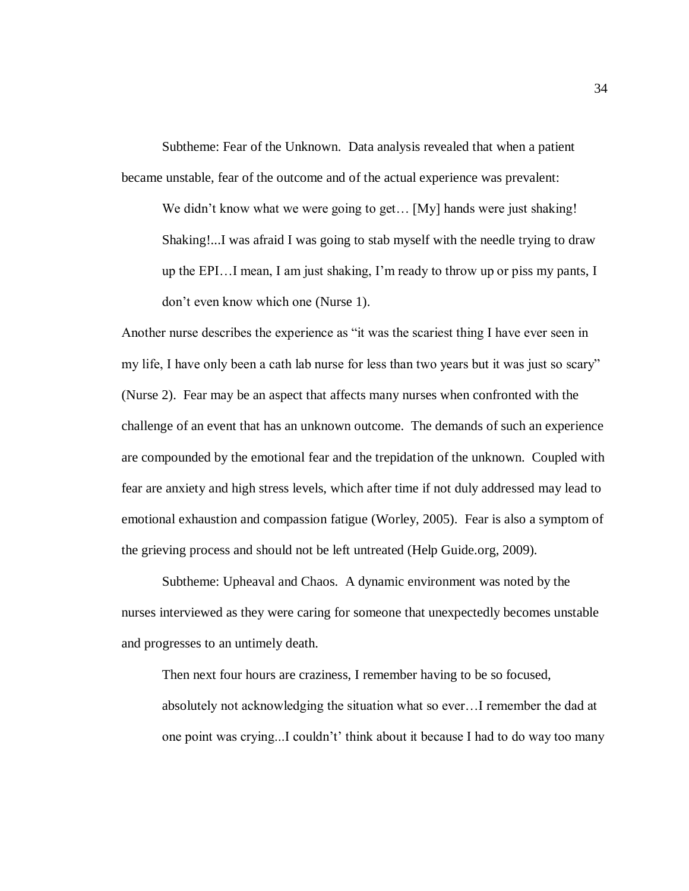Subtheme: Fear of the Unknown. Data analysis revealed that when a patient became unstable, fear of the outcome and of the actual experience was prevalent:

We didn't know what we were going to get... [My] hands were just shaking! Shaking!...I was afraid I was going to stab myself with the needle trying to draw up the EPI…I mean, I am just shaking, I"m ready to throw up or piss my pants, I don"t even know which one (Nurse 1).

Another nurse describes the experience as "it was the scariest thing I have ever seen in my life, I have only been a cath lab nurse for less than two years but it was just so scary" (Nurse 2). Fear may be an aspect that affects many nurses when confronted with the challenge of an event that has an unknown outcome. The demands of such an experience are compounded by the emotional fear and the trepidation of the unknown. Coupled with fear are anxiety and high stress levels, which after time if not duly addressed may lead to emotional exhaustion and compassion fatigue (Worley, 2005). Fear is also a symptom of the grieving process and should not be left untreated (Help Guide.org, 2009).

Subtheme: Upheaval and Chaos. A dynamic environment was noted by the nurses interviewed as they were caring for someone that unexpectedly becomes unstable and progresses to an untimely death.

Then next four hours are craziness, I remember having to be so focused, absolutely not acknowledging the situation what so ever…I remember the dad at one point was crying...I couldn"t" think about it because I had to do way too many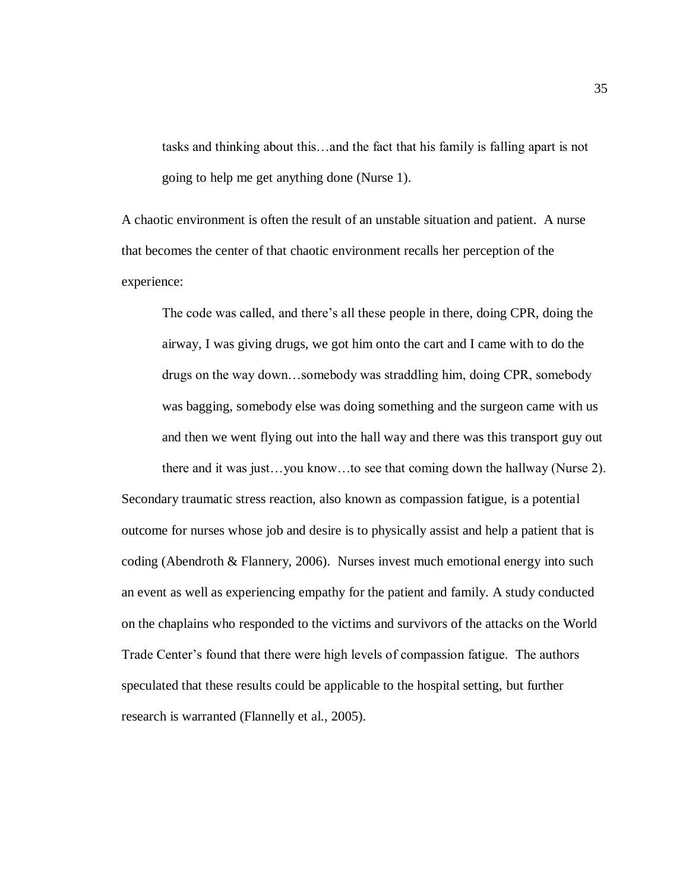tasks and thinking about this…and the fact that his family is falling apart is not going to help me get anything done (Nurse 1).

A chaotic environment is often the result of an unstable situation and patient. A nurse that becomes the center of that chaotic environment recalls her perception of the experience:

The code was called, and there's all these people in there, doing CPR, doing the airway, I was giving drugs, we got him onto the cart and I came with to do the drugs on the way down…somebody was straddling him, doing CPR, somebody was bagging, somebody else was doing something and the surgeon came with us and then we went flying out into the hall way and there was this transport guy out there and it was just…you know…to see that coming down the hallway (Nurse 2).

Secondary traumatic stress reaction, also known as compassion fatigue, is a potential outcome for nurses whose job and desire is to physically assist and help a patient that is coding (Abendroth & Flannery, 2006). Nurses invest much emotional energy into such an event as well as experiencing empathy for the patient and family. A study conducted on the chaplains who responded to the victims and survivors of the attacks on the World Trade Center's found that there were high levels of compassion fatigue. The authors speculated that these results could be applicable to the hospital setting, but further research is warranted (Flannelly et al., 2005).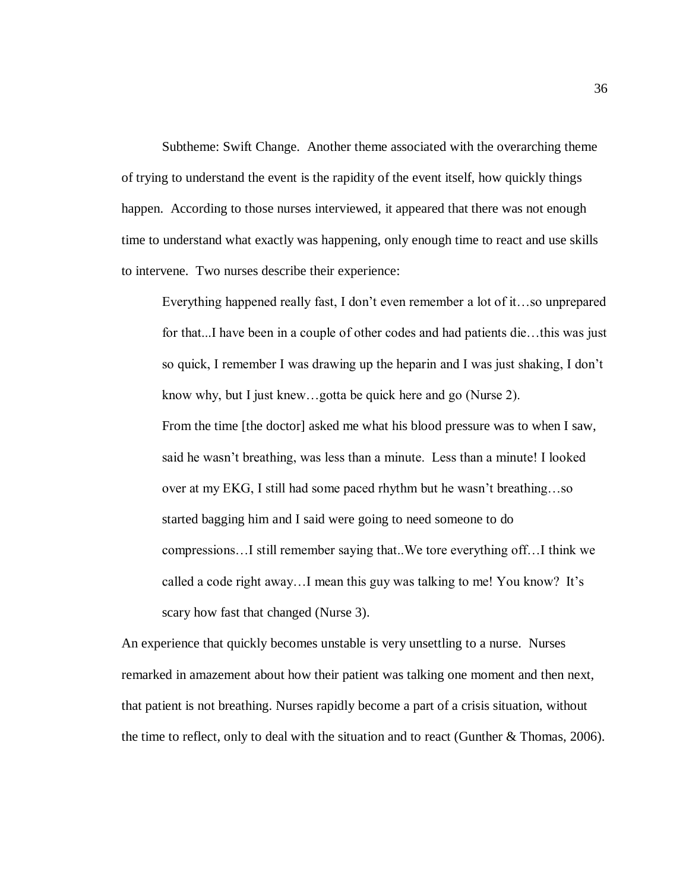Subtheme: Swift Change. Another theme associated with the overarching theme of trying to understand the event is the rapidity of the event itself, how quickly things happen. According to those nurses interviewed, it appeared that there was not enough time to understand what exactly was happening, only enough time to react and use skills to intervene. Two nurses describe their experience:

Everything happened really fast, I don"t even remember a lot of it…so unprepared for that...I have been in a couple of other codes and had patients die…this was just so quick, I remember I was drawing up the heparin and I was just shaking, I don"t know why, but I just knew…gotta be quick here and go (Nurse 2). From the time [the doctor] asked me what his blood pressure was to when I saw, said he wasn"t breathing, was less than a minute. Less than a minute! I looked over at my EKG, I still had some paced rhythm but he wasn"t breathing…so started bagging him and I said were going to need someone to do compressions…I still remember saying that..We tore everything off…I think we called a code right away...I mean this guy was talking to me! You know? It's scary how fast that changed (Nurse 3).

An experience that quickly becomes unstable is very unsettling to a nurse. Nurses remarked in amazement about how their patient was talking one moment and then next, that patient is not breathing. Nurses rapidly become a part of a crisis situation, without the time to reflect, only to deal with the situation and to react (Gunther & Thomas, 2006).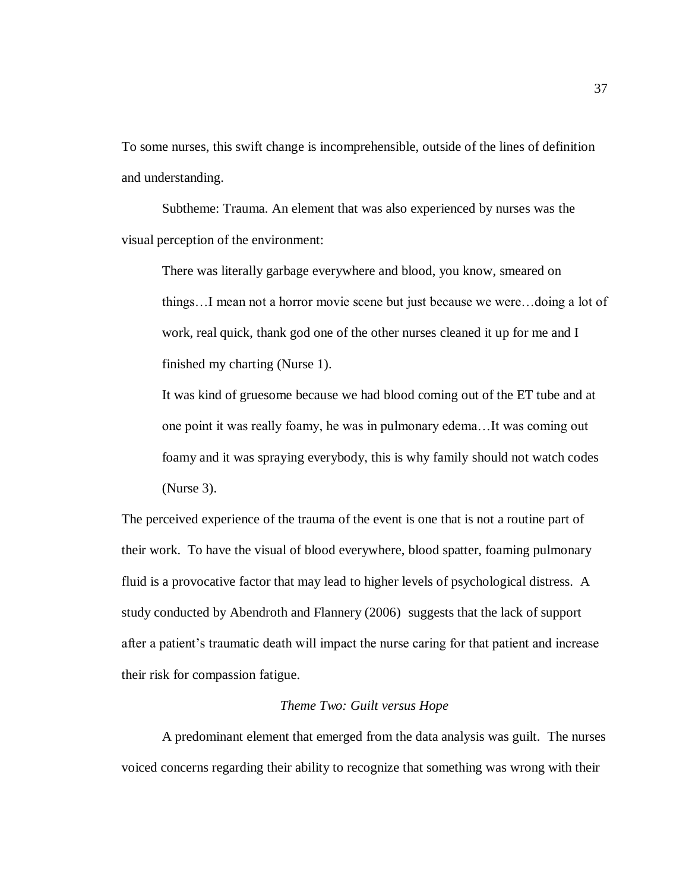To some nurses, this swift change is incomprehensible, outside of the lines of definition and understanding.

Subtheme: Trauma. An element that was also experienced by nurses was the visual perception of the environment:

There was literally garbage everywhere and blood, you know, smeared on things…I mean not a horror movie scene but just because we were…doing a lot of work, real quick, thank god one of the other nurses cleaned it up for me and I finished my charting (Nurse 1).

It was kind of gruesome because we had blood coming out of the ET tube and at one point it was really foamy, he was in pulmonary edema…It was coming out foamy and it was spraying everybody, this is why family should not watch codes (Nurse 3).

The perceived experience of the trauma of the event is one that is not a routine part of their work. To have the visual of blood everywhere, blood spatter, foaming pulmonary fluid is a provocative factor that may lead to higher levels of psychological distress. A study conducted by Abendroth and Flannery (2006) suggests that the lack of support after a patient's traumatic death will impact the nurse caring for that patient and increase their risk for compassion fatigue.

## *Theme Two: Guilt versus Hope*

A predominant element that emerged from the data analysis was guilt. The nurses voiced concerns regarding their ability to recognize that something was wrong with their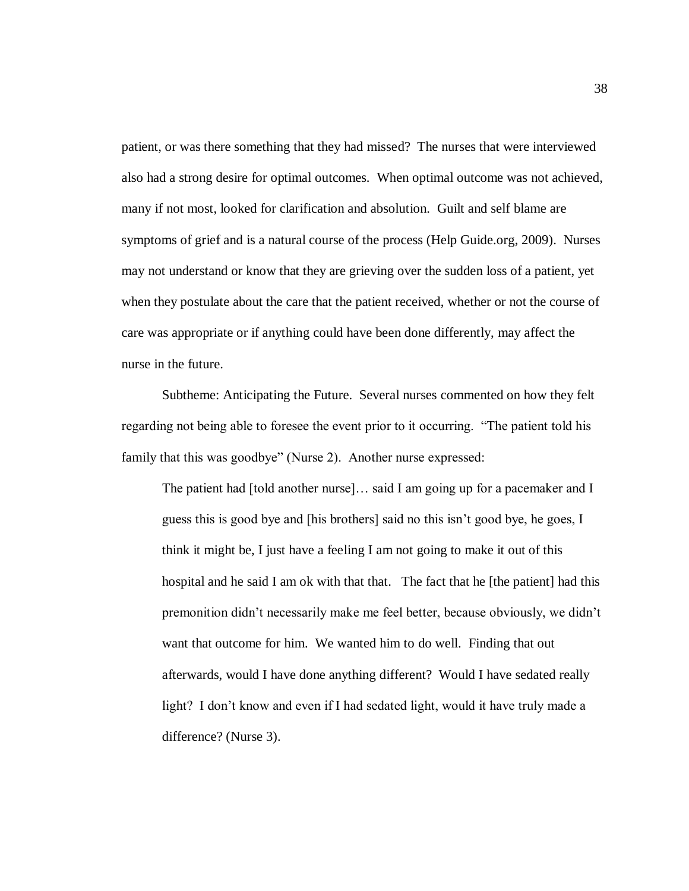patient, or was there something that they had missed? The nurses that were interviewed also had a strong desire for optimal outcomes. When optimal outcome was not achieved, many if not most, looked for clarification and absolution. Guilt and self blame are symptoms of grief and is a natural course of the process (Help Guide.org, 2009). Nurses may not understand or know that they are grieving over the sudden loss of a patient, yet when they postulate about the care that the patient received, whether or not the course of care was appropriate or if anything could have been done differently, may affect the nurse in the future.

Subtheme: Anticipating the Future. Several nurses commented on how they felt regarding not being able to foresee the event prior to it occurring. "The patient told his family that this was goodbye" (Nurse 2). Another nurse expressed:

The patient had [told another nurse]… said I am going up for a pacemaker and I guess this is good bye and [his brothers] said no this isn"t good bye, he goes, I think it might be, I just have a feeling I am not going to make it out of this hospital and he said I am ok with that that. The fact that he [the patient] had this premonition didn"t necessarily make me feel better, because obviously, we didn"t want that outcome for him. We wanted him to do well. Finding that out afterwards, would I have done anything different? Would I have sedated really light? I don"t know and even if I had sedated light, would it have truly made a difference? (Nurse 3).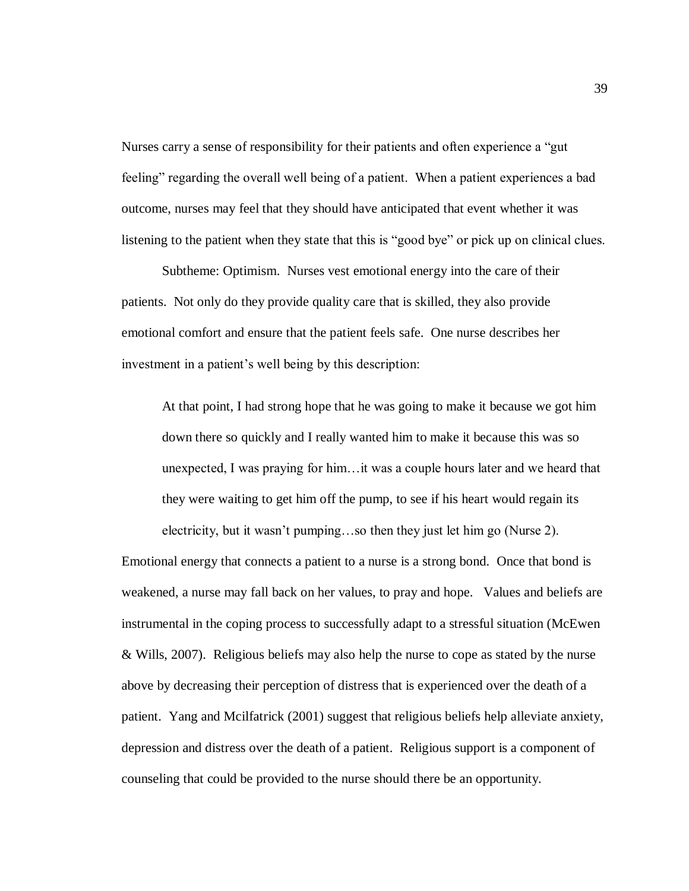Nurses carry a sense of responsibility for their patients and often experience a "gut feeling" regarding the overall well being of a patient. When a patient experiences a bad outcome, nurses may feel that they should have anticipated that event whether it was listening to the patient when they state that this is "good bye" or pick up on clinical clues.

Subtheme: Optimism. Nurses vest emotional energy into the care of their patients. Not only do they provide quality care that is skilled, they also provide emotional comfort and ensure that the patient feels safe. One nurse describes her investment in a patient's well being by this description:

At that point, I had strong hope that he was going to make it because we got him down there so quickly and I really wanted him to make it because this was so unexpected, I was praying for him…it was a couple hours later and we heard that they were waiting to get him off the pump, to see if his heart would regain its electricity, but it wasn"t pumping…so then they just let him go (Nurse 2).

Emotional energy that connects a patient to a nurse is a strong bond. Once that bond is weakened, a nurse may fall back on her values, to pray and hope. Values and beliefs are instrumental in the coping process to successfully adapt to a stressful situation (McEwen & Wills, 2007). Religious beliefs may also help the nurse to cope as stated by the nurse above by decreasing their perception of distress that is experienced over the death of a patient. Yang and Mcilfatrick (2001) suggest that religious beliefs help alleviate anxiety, depression and distress over the death of a patient. Religious support is a component of counseling that could be provided to the nurse should there be an opportunity.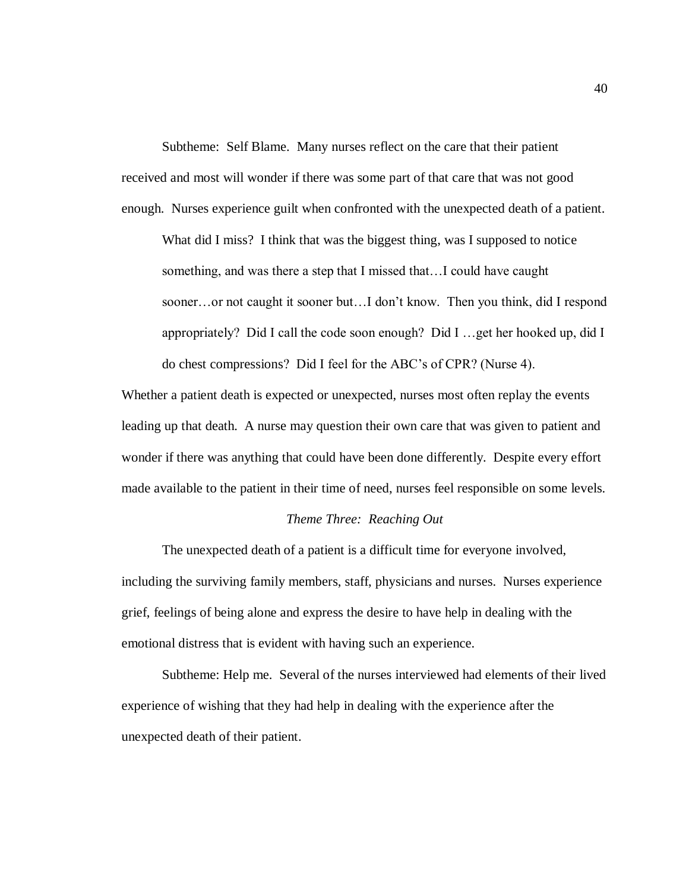Subtheme: Self Blame. Many nurses reflect on the care that their patient received and most will wonder if there was some part of that care that was not good enough. Nurses experience guilt when confronted with the unexpected death of a patient.

What did I miss? I think that was the biggest thing, was I supposed to notice something, and was there a step that I missed that…I could have caught sooner…or not caught it sooner but…I don"t know. Then you think, did I respond appropriately? Did I call the code soon enough? Did I …get her hooked up, did I do chest compressions? Did I feel for the ABC"s of CPR? (Nurse 4).

Whether a patient death is expected or unexpected, nurses most often replay the events leading up that death. A nurse may question their own care that was given to patient and wonder if there was anything that could have been done differently. Despite every effort made available to the patient in their time of need, nurses feel responsible on some levels.

## *Theme Three: Reaching Out*

The unexpected death of a patient is a difficult time for everyone involved, including the surviving family members, staff, physicians and nurses. Nurses experience grief, feelings of being alone and express the desire to have help in dealing with the emotional distress that is evident with having such an experience.

Subtheme: Help me. Several of the nurses interviewed had elements of their lived experience of wishing that they had help in dealing with the experience after the unexpected death of their patient.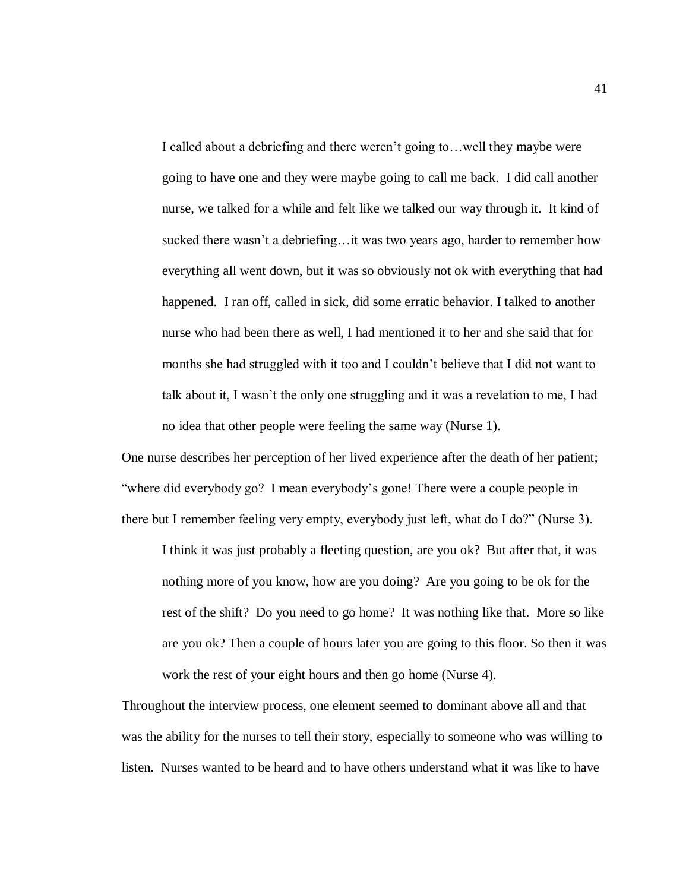I called about a debriefing and there weren't going to... well they maybe were going to have one and they were maybe going to call me back. I did call another nurse, we talked for a while and felt like we talked our way through it. It kind of sucked there wasn't a debriefing... it was two years ago, harder to remember how everything all went down, but it was so obviously not ok with everything that had happened. I ran off, called in sick, did some erratic behavior. I talked to another nurse who had been there as well, I had mentioned it to her and she said that for months she had struggled with it too and I couldn"t believe that I did not want to talk about it, I wasn't the only one struggling and it was a revelation to me, I had no idea that other people were feeling the same way (Nurse 1).

One nurse describes her perception of her lived experience after the death of her patient; "where did everybody go? I mean everybody"s gone! There were a couple people in there but I remember feeling very empty, everybody just left, what do I do?" (Nurse 3).

I think it was just probably a fleeting question, are you ok? But after that, it was nothing more of you know, how are you doing? Are you going to be ok for the rest of the shift? Do you need to go home? It was nothing like that. More so like are you ok? Then a couple of hours later you are going to this floor. So then it was work the rest of your eight hours and then go home (Nurse 4).

Throughout the interview process, one element seemed to dominant above all and that was the ability for the nurses to tell their story, especially to someone who was willing to listen. Nurses wanted to be heard and to have others understand what it was like to have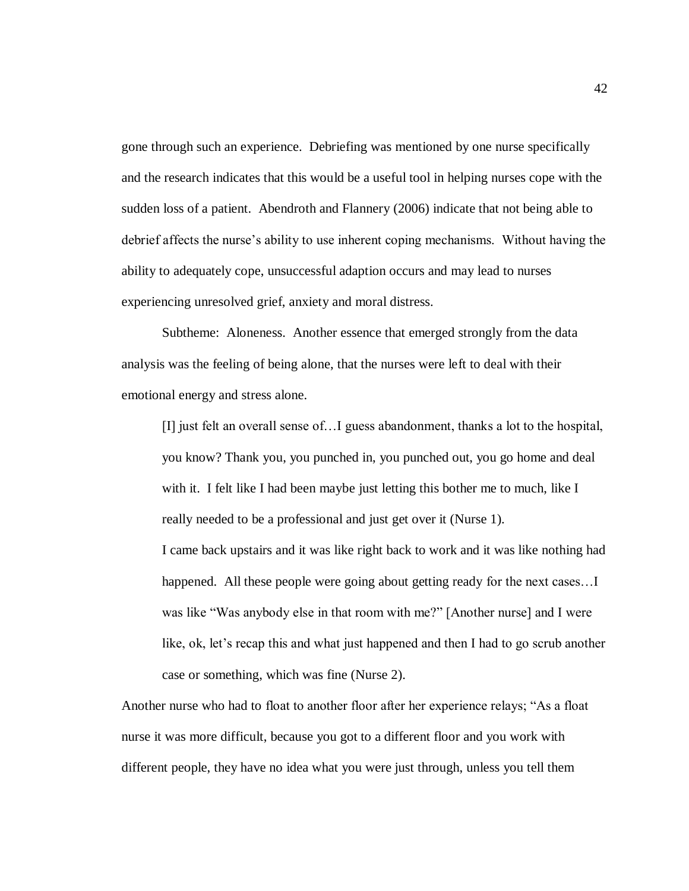gone through such an experience. Debriefing was mentioned by one nurse specifically and the research indicates that this would be a useful tool in helping nurses cope with the sudden loss of a patient. Abendroth and Flannery (2006) indicate that not being able to debrief affects the nurse"s ability to use inherent coping mechanisms. Without having the ability to adequately cope, unsuccessful adaption occurs and may lead to nurses experiencing unresolved grief, anxiety and moral distress.

Subtheme: Aloneness. Another essence that emerged strongly from the data analysis was the feeling of being alone, that the nurses were left to deal with their emotional energy and stress alone.

[I] just felt an overall sense of…I guess abandonment, thanks a lot to the hospital, you know? Thank you, you punched in, you punched out, you go home and deal with it. I felt like I had been maybe just letting this bother me to much, like I really needed to be a professional and just get over it (Nurse 1).

I came back upstairs and it was like right back to work and it was like nothing had happened. All these people were going about getting ready for the next cases... was like "Was anybody else in that room with me?" [Another nurse] and I were like, ok, let's recap this and what just happened and then I had to go scrub another case or something, which was fine (Nurse 2).

Another nurse who had to float to another floor after her experience relays; "As a float nurse it was more difficult, because you got to a different floor and you work with different people, they have no idea what you were just through, unless you tell them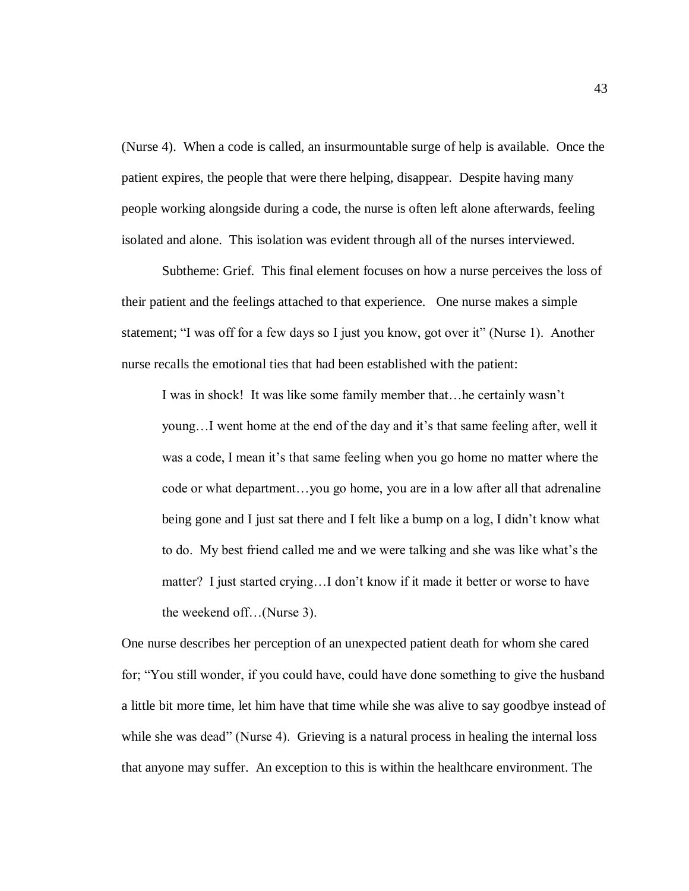(Nurse 4). When a code is called, an insurmountable surge of help is available. Once the patient expires, the people that were there helping, disappear. Despite having many people working alongside during a code, the nurse is often left alone afterwards, feeling isolated and alone. This isolation was evident through all of the nurses interviewed.

Subtheme: Grief. This final element focuses on how a nurse perceives the loss of their patient and the feelings attached to that experience. One nurse makes a simple statement; "I was off for a few days so I just you know, got over it" (Nurse 1). Another nurse recalls the emotional ties that had been established with the patient:

I was in shock! It was like some family member that…he certainly wasn"t young...I went home at the end of the day and it's that same feeling after, well it was a code, I mean it's that same feeling when you go home no matter where the code or what department…you go home, you are in a low after all that adrenaline being gone and I just sat there and I felt like a bump on a log, I didn't know what to do. My best friend called me and we were talking and she was like what"s the matter? I just started crying...I don't know if it made it better or worse to have the weekend off…(Nurse 3).

One nurse describes her perception of an unexpected patient death for whom she cared for; "You still wonder, if you could have, could have done something to give the husband a little bit more time, let him have that time while she was alive to say goodbye instead of while she was dead" (Nurse 4). Grieving is a natural process in healing the internal loss that anyone may suffer. An exception to this is within the healthcare environment. The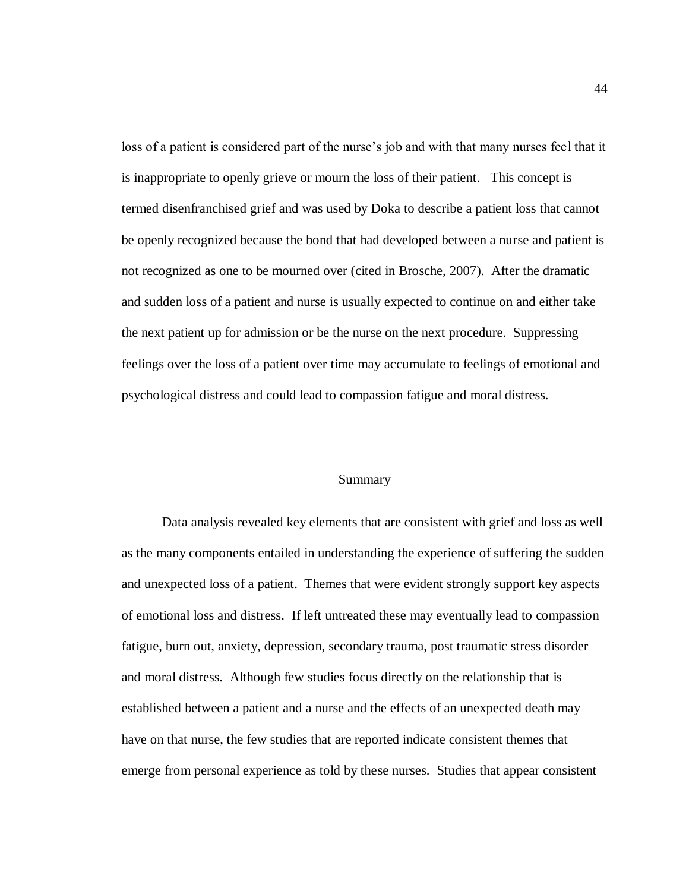loss of a patient is considered part of the nurse's job and with that many nurses feel that it is inappropriate to openly grieve or mourn the loss of their patient. This concept is termed disenfranchised grief and was used by Doka to describe a patient loss that cannot be openly recognized because the bond that had developed between a nurse and patient is not recognized as one to be mourned over (cited in Brosche, 2007). After the dramatic and sudden loss of a patient and nurse is usually expected to continue on and either take the next patient up for admission or be the nurse on the next procedure. Suppressing feelings over the loss of a patient over time may accumulate to feelings of emotional and psychological distress and could lead to compassion fatigue and moral distress.

#### Summary

Data analysis revealed key elements that are consistent with grief and loss as well as the many components entailed in understanding the experience of suffering the sudden and unexpected loss of a patient. Themes that were evident strongly support key aspects of emotional loss and distress. If left untreated these may eventually lead to compassion fatigue, burn out, anxiety, depression, secondary trauma, post traumatic stress disorder and moral distress. Although few studies focus directly on the relationship that is established between a patient and a nurse and the effects of an unexpected death may have on that nurse, the few studies that are reported indicate consistent themes that emerge from personal experience as told by these nurses. Studies that appear consistent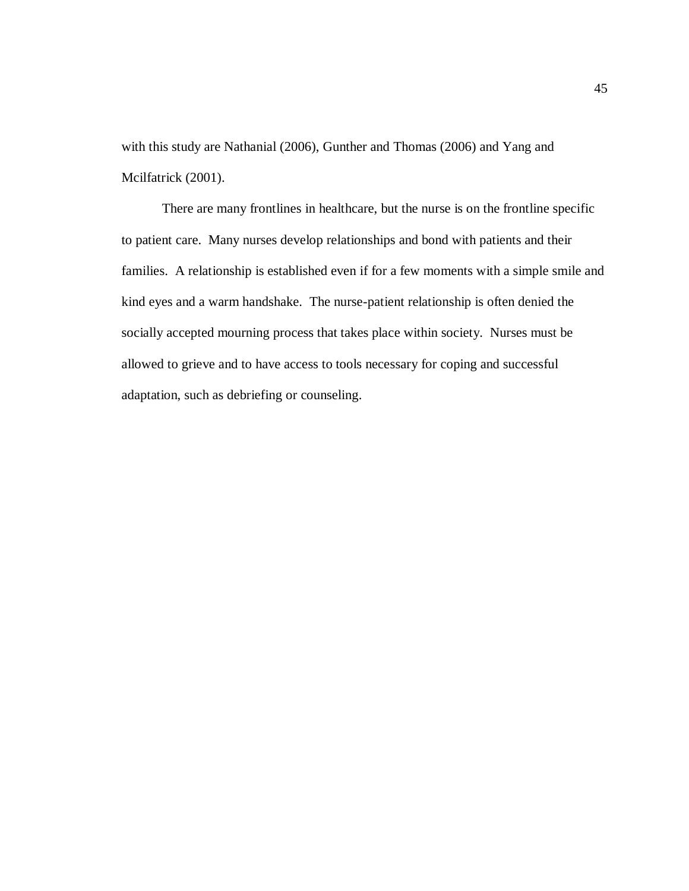with this study are Nathanial (2006), Gunther and Thomas (2006) and Yang and Mcilfatrick (2001).

There are many frontlines in healthcare, but the nurse is on the frontline specific to patient care. Many nurses develop relationships and bond with patients and their families. A relationship is established even if for a few moments with a simple smile and kind eyes and a warm handshake. The nurse-patient relationship is often denied the socially accepted mourning process that takes place within society. Nurses must be allowed to grieve and to have access to tools necessary for coping and successful adaptation, such as debriefing or counseling.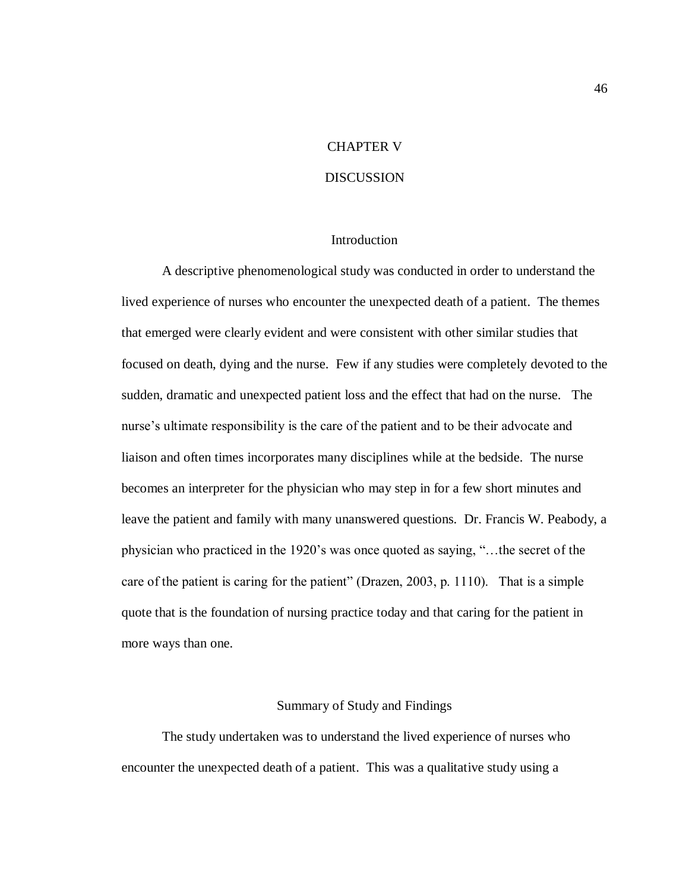## CHAPTER V

## DISCUSSION

#### **Introduction**

A descriptive phenomenological study was conducted in order to understand the lived experience of nurses who encounter the unexpected death of a patient. The themes that emerged were clearly evident and were consistent with other similar studies that focused on death, dying and the nurse. Few if any studies were completely devoted to the sudden, dramatic and unexpected patient loss and the effect that had on the nurse. The nurse"s ultimate responsibility is the care of the patient and to be their advocate and liaison and often times incorporates many disciplines while at the bedside. The nurse becomes an interpreter for the physician who may step in for a few short minutes and leave the patient and family with many unanswered questions. Dr. Francis W. Peabody, a physician who practiced in the 1920"s was once quoted as saying, "…the secret of the care of the patient is caring for the patient" (Drazen, 2003, p. 1110). That is a simple quote that is the foundation of nursing practice today and that caring for the patient in more ways than one.

## Summary of Study and Findings

The study undertaken was to understand the lived experience of nurses who encounter the unexpected death of a patient. This was a qualitative study using a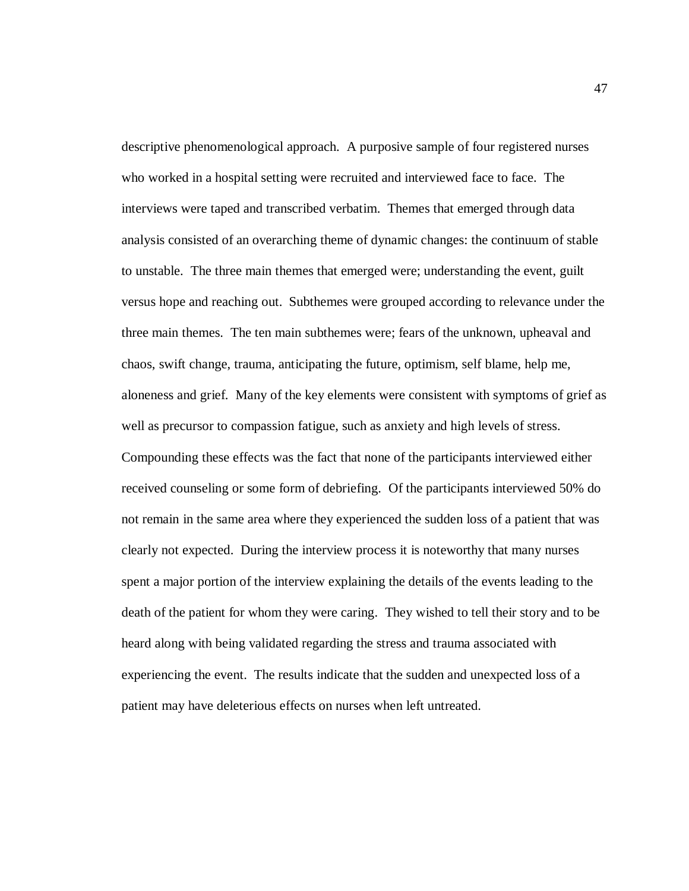descriptive phenomenological approach. A purposive sample of four registered nurses who worked in a hospital setting were recruited and interviewed face to face. The interviews were taped and transcribed verbatim. Themes that emerged through data analysis consisted of an overarching theme of dynamic changes: the continuum of stable to unstable. The three main themes that emerged were; understanding the event, guilt versus hope and reaching out. Subthemes were grouped according to relevance under the three main themes. The ten main subthemes were; fears of the unknown, upheaval and chaos, swift change, trauma, anticipating the future, optimism, self blame, help me, aloneness and grief. Many of the key elements were consistent with symptoms of grief as well as precursor to compassion fatigue, such as anxiety and high levels of stress. Compounding these effects was the fact that none of the participants interviewed either received counseling or some form of debriefing. Of the participants interviewed 50% do not remain in the same area where they experienced the sudden loss of a patient that was clearly not expected. During the interview process it is noteworthy that many nurses spent a major portion of the interview explaining the details of the events leading to the death of the patient for whom they were caring. They wished to tell their story and to be heard along with being validated regarding the stress and trauma associated with experiencing the event. The results indicate that the sudden and unexpected loss of a patient may have deleterious effects on nurses when left untreated.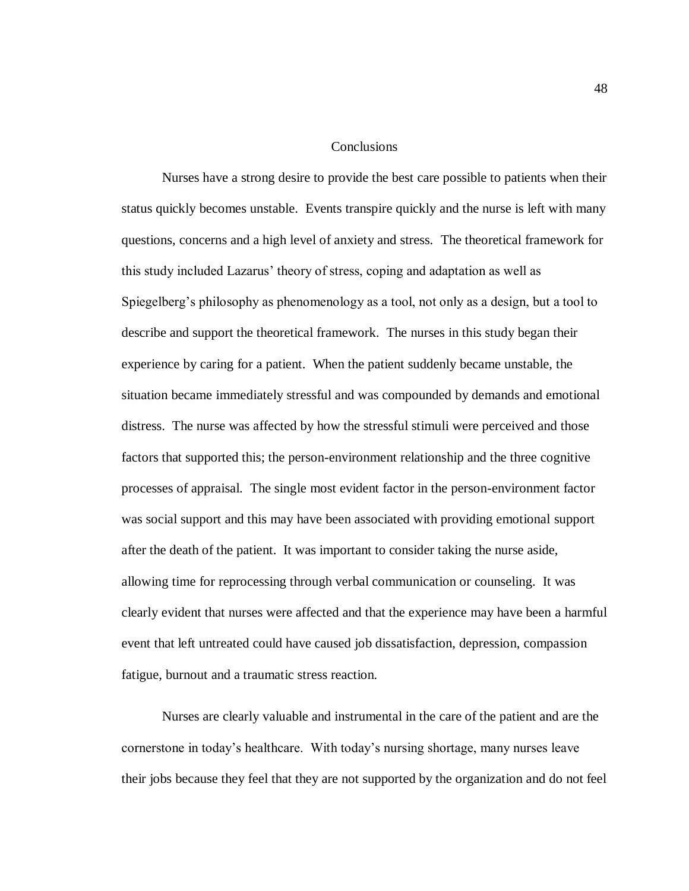**Conclusions** 

Nurses have a strong desire to provide the best care possible to patients when their status quickly becomes unstable. Events transpire quickly and the nurse is left with many questions, concerns and a high level of anxiety and stress. The theoretical framework for this study included Lazarus" theory of stress, coping and adaptation as well as Spiegelberg"s philosophy as phenomenology as a tool, not only as a design, but a tool to describe and support the theoretical framework. The nurses in this study began their experience by caring for a patient. When the patient suddenly became unstable, the situation became immediately stressful and was compounded by demands and emotional distress. The nurse was affected by how the stressful stimuli were perceived and those factors that supported this; the person-environment relationship and the three cognitive processes of appraisal. The single most evident factor in the person-environment factor was social support and this may have been associated with providing emotional support after the death of the patient. It was important to consider taking the nurse aside, allowing time for reprocessing through verbal communication or counseling. It was clearly evident that nurses were affected and that the experience may have been a harmful event that left untreated could have caused job dissatisfaction, depression, compassion fatigue, burnout and a traumatic stress reaction.

Nurses are clearly valuable and instrumental in the care of the patient and are the cornerstone in today"s healthcare. With today"s nursing shortage, many nurses leave their jobs because they feel that they are not supported by the organization and do not feel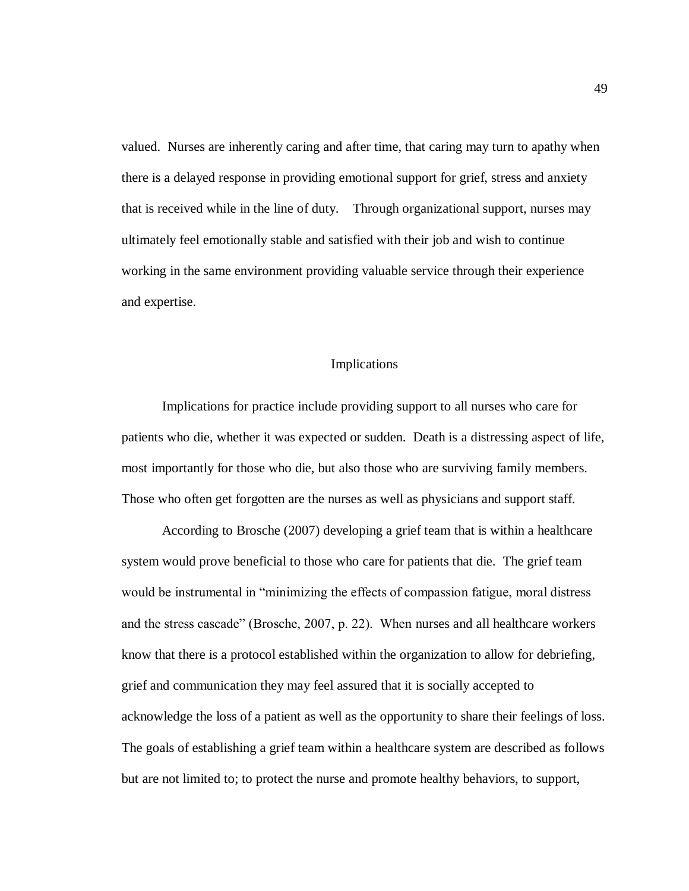valued. Nurses are inherently caring and after time, that caring may turn to apathy when there is a delayed response in providing emotional support for grief, stress and anxiety that is received while in the line of duty. Through organizational support, nurses may ultimately feel emotionally stable and satisfied with their job and wish to continue working in the same environment providing valuable service through their experience and expertise.

## Implications

Implications for practice include providing support to all nurses who care for patients who die, whether it was expected or sudden. Death is a distressing aspect of life, most importantly for those who die, but also those who are surviving family members. Those who often get forgotten are the nurses as well as physicians and support staff.

According to Brosche (2007) developing a grief team that is within a healthcare system would prove beneficial to those who care for patients that die. The grief team would be instrumental in "minimizing the effects of compassion fatigue, moral distress and the stress cascade" (Brosche, 2007, p. 22). When nurses and all healthcare workers know that there is a protocol established within the organization to allow for debriefing, grief and communication they may feel assured that it is socially accepted to acknowledge the loss of a patient as well as the opportunity to share their feelings of loss. The goals of establishing a grief team within a healthcare system are described as follows but are not limited to; to protect the nurse and promote healthy behaviors, to support,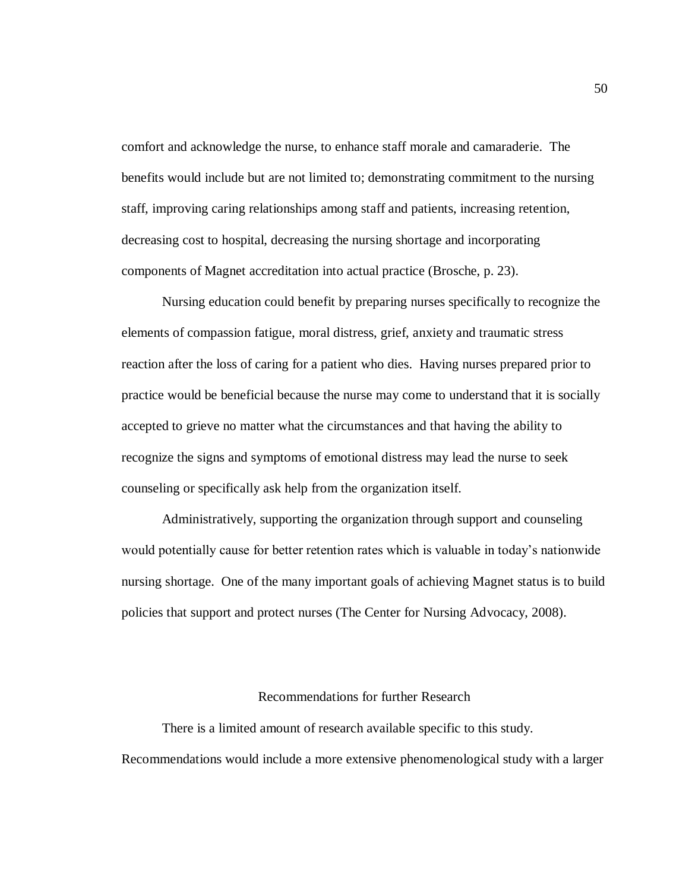comfort and acknowledge the nurse, to enhance staff morale and camaraderie. The benefits would include but are not limited to; demonstrating commitment to the nursing staff, improving caring relationships among staff and patients, increasing retention, decreasing cost to hospital, decreasing the nursing shortage and incorporating components of Magnet accreditation into actual practice (Brosche, p. 23).

Nursing education could benefit by preparing nurses specifically to recognize the elements of compassion fatigue, moral distress, grief, anxiety and traumatic stress reaction after the loss of caring for a patient who dies. Having nurses prepared prior to practice would be beneficial because the nurse may come to understand that it is socially accepted to grieve no matter what the circumstances and that having the ability to recognize the signs and symptoms of emotional distress may lead the nurse to seek counseling or specifically ask help from the organization itself.

Administratively, supporting the organization through support and counseling would potentially cause for better retention rates which is valuable in today"s nationwide nursing shortage. One of the many important goals of achieving Magnet status is to build policies that support and protect nurses (The Center for Nursing Advocacy, 2008).

## Recommendations for further Research

There is a limited amount of research available specific to this study. Recommendations would include a more extensive phenomenological study with a larger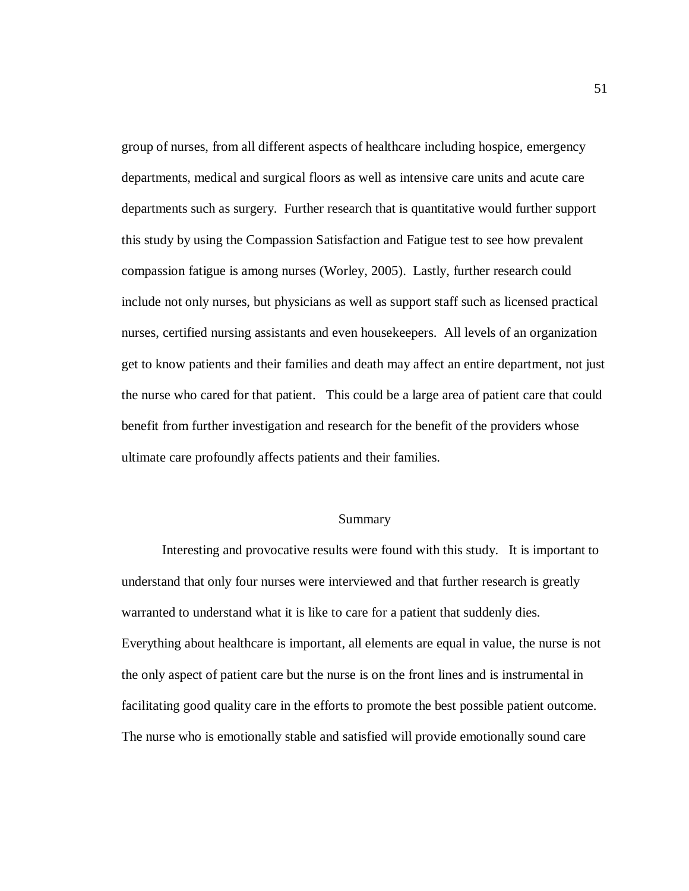group of nurses, from all different aspects of healthcare including hospice, emergency departments, medical and surgical floors as well as intensive care units and acute care departments such as surgery. Further research that is quantitative would further support this study by using the Compassion Satisfaction and Fatigue test to see how prevalent compassion fatigue is among nurses (Worley, 2005). Lastly, further research could include not only nurses, but physicians as well as support staff such as licensed practical nurses, certified nursing assistants and even housekeepers. All levels of an organization get to know patients and their families and death may affect an entire department, not just the nurse who cared for that patient. This could be a large area of patient care that could benefit from further investigation and research for the benefit of the providers whose ultimate care profoundly affects patients and their families.

## Summary

Interesting and provocative results were found with this study. It is important to understand that only four nurses were interviewed and that further research is greatly warranted to understand what it is like to care for a patient that suddenly dies. Everything about healthcare is important, all elements are equal in value, the nurse is not the only aspect of patient care but the nurse is on the front lines and is instrumental in facilitating good quality care in the efforts to promote the best possible patient outcome. The nurse who is emotionally stable and satisfied will provide emotionally sound care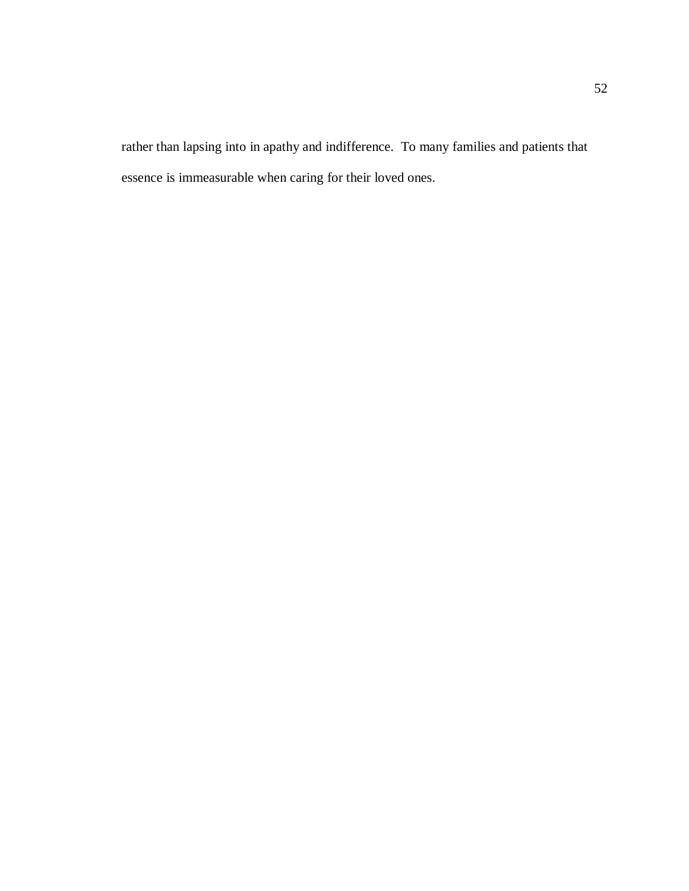rather than lapsing into in apathy and indifference. To many families and patients that essence is immeasurable when caring for their loved ones.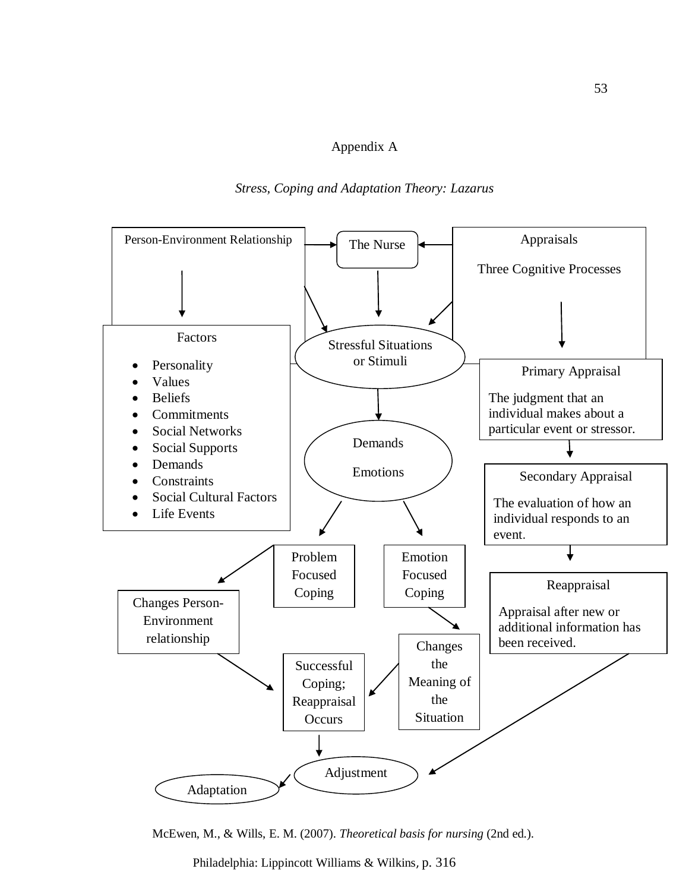## Appendix A

## *Stress, Coping and Adaptation Theory: Lazarus*



McEwen, M., & Wills, E. M. (2007). *Theoretical basis for nursing* (2nd ed.).

Philadelphia: Lippincott Williams & Wilkins, p. 316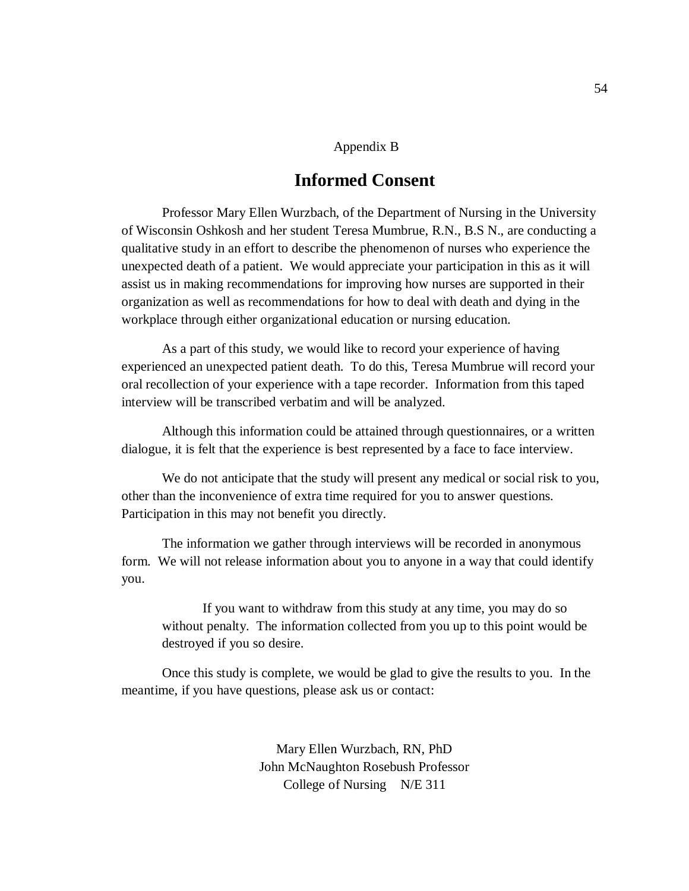## Appendix B

# **Informed Consent**

Professor Mary Ellen Wurzbach, of the Department of Nursing in the University of Wisconsin Oshkosh and her student Teresa Mumbrue, R.N., B.S N., are conducting a qualitative study in an effort to describe the phenomenon of nurses who experience the unexpected death of a patient. We would appreciate your participation in this as it will assist us in making recommendations for improving how nurses are supported in their organization as well as recommendations for how to deal with death and dying in the workplace through either organizational education or nursing education.

As a part of this study, we would like to record your experience of having experienced an unexpected patient death. To do this, Teresa Mumbrue will record your oral recollection of your experience with a tape recorder. Information from this taped interview will be transcribed verbatim and will be analyzed.

Although this information could be attained through questionnaires, or a written dialogue, it is felt that the experience is best represented by a face to face interview.

We do not anticipate that the study will present any medical or social risk to you, other than the inconvenience of extra time required for you to answer questions. Participation in this may not benefit you directly.

The information we gather through interviews will be recorded in anonymous form. We will not release information about you to anyone in a way that could identify you.

If you want to withdraw from this study at any time, you may do so without penalty. The information collected from you up to this point would be destroyed if you so desire.

Once this study is complete, we would be glad to give the results to you. In the meantime, if you have questions, please ask us or contact:

> Mary Ellen Wurzbach, RN, PhD John McNaughton Rosebush Professor College of Nursing N/E 311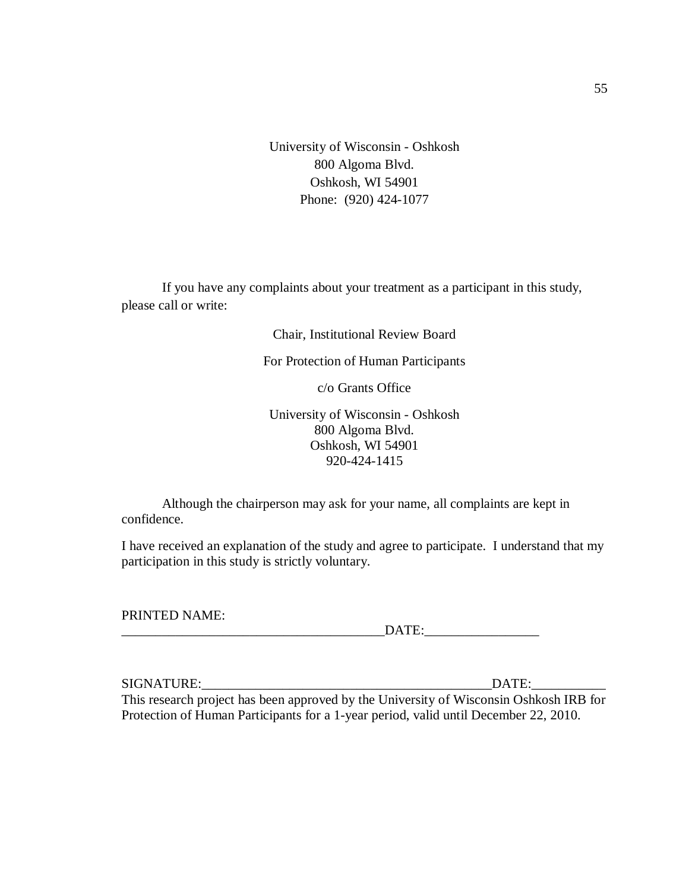University of Wisconsin - Oshkosh 800 Algoma Blvd. Oshkosh, WI 54901 Phone: (920) 424-1077

If you have any complaints about your treatment as a participant in this study, please call or write:

Chair, Institutional Review Board

For Protection of Human Participants

c/o Grants Office

University of Wisconsin - Oshkosh 800 Algoma Blvd. Oshkosh, WI 54901 920-424-1415

Although the chairperson may ask for your name, all complaints are kept in confidence.

I have received an explanation of the study and agree to participate. I understand that my participation in this study is strictly voluntary.

PRINTED NAME:

| ----- |
|-------|
|-------|

SIGNATURE: where the contract of the contract of the contract of the contract of the contract of the contract of the contract of the contract of the contract of the contract of the contract of the contract of the contract

This research project has been approved by the University of Wisconsin Oshkosh IRB for Protection of Human Participants for a 1-year period, valid until December 22, 2010.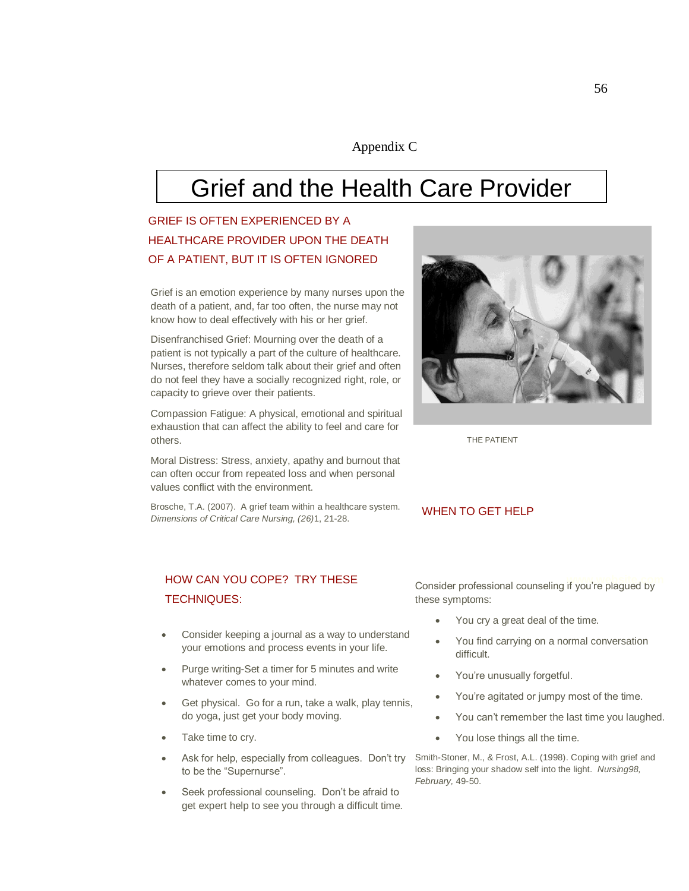## Appendix C

# Grief and the Health Care Provider

# GRIEF IS OFTEN EXPERIENCED BY A HEALTHCARE PROVIDER UPON THE DEATH OF A PATIENT, BUT IT IS OFTEN IGNORED

Grief is an emotion experience by many nurses upon the death of a patient, and, far too often, the nurse may not know how to deal effectively with his or her grief.

Disenfranchised Grief: Mourning over the death of a patient is not typically a part of the culture of healthcare. Nurses, therefore seldom talk about their grief and often do not feel they have a socially recognized right, role, or capacity to grieve over their patients.

Compassion Fatigue: A physical, emotional and spiritual exhaustion that can affect the ability to feel and care for others.

Moral Distress: Stress, anxiety, apathy and burnout that can often occur from repeated loss and when personal values conflict with the environment.

Brosche, T.A. (2007). A grief team within a healthcare system. *Dimensions of Critical Care Nursing, (26)*1, 21-28.



THE PATIENT

#### WHEN TO GET HELP

## HOW CAN YOU COPE? TRY THESE TECHNIQUES:

- Consider keeping a journal as a way to understand your emotions and process events in your life.
- Purge writing-Set a timer for 5 minutes and write whatever comes to your mind.
- Get physical. Go for a run, take a walk, play tennis, do yoga, just get your body moving.
- Take time to cry.
- Ask for help, especially from colleagues. Don't try to be the "Supernurse".
- Seek professional counseling. Don't be afraid to get expert help to see you through a difficult time.

Consider professional counseling if you're plagued by these symptoms:

- You cry a great deal of the time.
- You find carrying on a normal conversation difficult.
- You're unusually forgetful.
- You're agitated or jumpy most of the time.
- You can't remember the last time you laughed.
- You lose things all the time.

Smith-Stoner, M., & Frost, A.L. (1998). Coping with grief and loss: Bringing your shadow self into the light. *Nursing98, February,* 49-50.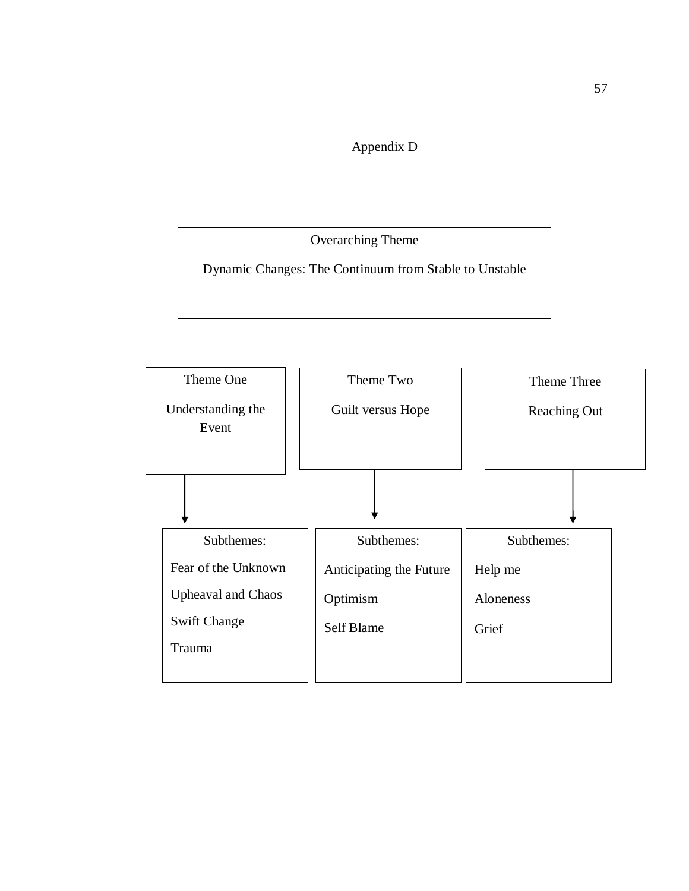Appendix D

Overarching Theme

Dynamic Changes: The Continuum from Stable to Unstable

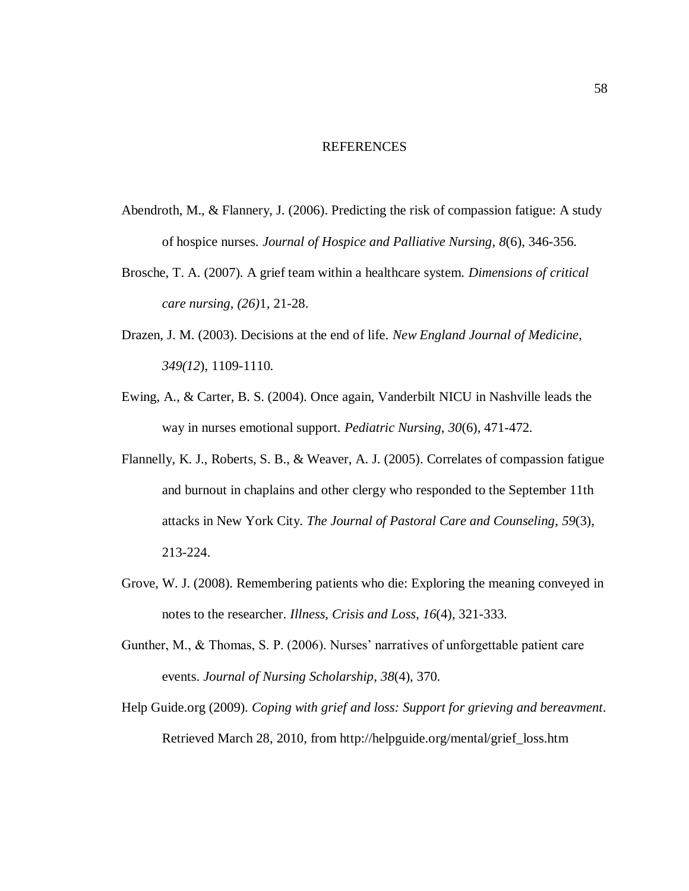#### REFERENCES

- Abendroth, M., & Flannery, J. (2006). Predicting the risk of compassion fatigue: A study of hospice nurses. *Journal of Hospice and Palliative Nursing*, *8*(6), 346-356.
- Brosche, T. A. (2007). A grief team within a healthcare system. *Dimensions of critical care nursing*, *(26)*1, 21-28.
- Drazen, J. M. (2003). Decisions at the end of life. *New England Journal of Medicine*, *349(12*), 1109-1110.
- Ewing, A., & Carter, B. S. (2004). Once again, Vanderbilt NICU in Nashville leads the way in nurses emotional support. *Pediatric Nursing*, *30*(6), 471-472.
- Flannelly, K. J., Roberts, S. B., & Weaver, A. J. (2005). Correlates of compassion fatigue and burnout in chaplains and other clergy who responded to the September 11th attacks in New York City. *The Journal of Pastoral Care and Counseling*, *59*(3), 213-224.
- Grove, W. J. (2008). Remembering patients who die: Exploring the meaning conveyed in notes to the researcher. *Illness, Crisis and Loss*, *16*(4), 321-333.
- Gunther, M., & Thomas, S. P. (2006). Nurses' narratives of unforgettable patient care events. *Journal of Nursing Scholarship*, *38*(4), 370.
- Help Guide.org (2009). *Coping with grief and loss: Support for grieving and bereavment*. Retrieved March 28, 2010, from http://helpguide.org/mental/grief\_loss.htm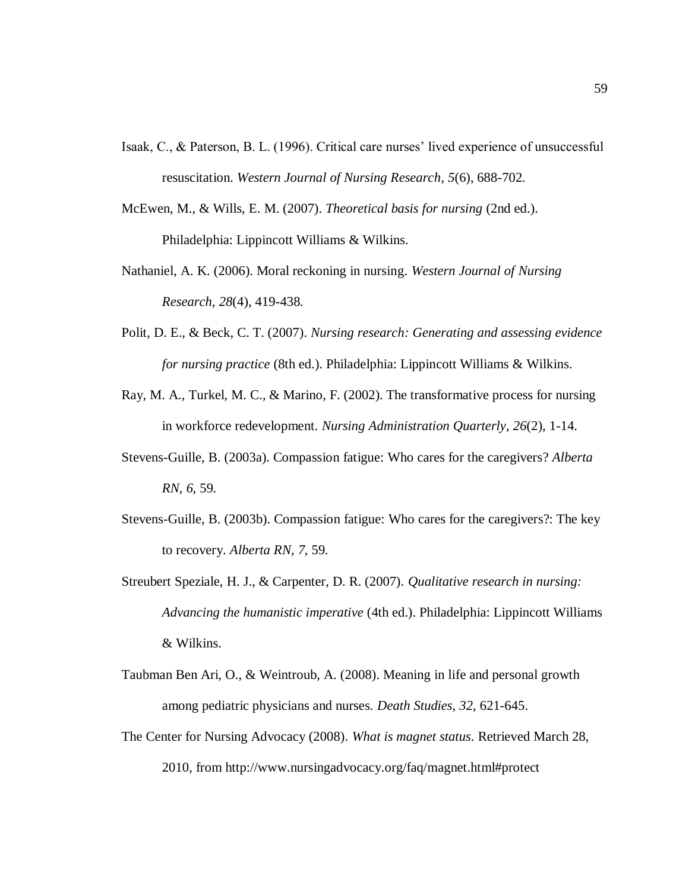- Isaak, C., & Paterson, B. L. (1996). Critical care nurses' lived experience of unsuccessful resuscitation. *Western Journal of Nursing Research*, *5*(6), 688-702.
- McEwen, M., & Wills, E. M. (2007). *Theoretical basis for nursing* (2nd ed.). Philadelphia: Lippincott Williams & Wilkins.
- Nathaniel, A. K. (2006). Moral reckoning in nursing. *Western Journal of Nursing Research*, *28*(4), 419-438.
- Polit, D. E., & Beck, C. T. (2007). *Nursing research: Generating and assessing evidence for nursing practice* (8th ed.). Philadelphia: Lippincott Williams & Wilkins.
- Ray, M. A., Turkel, M. C., & Marino, F. (2002). The transformative process for nursing in workforce redevelopment. *Nursing Administration Quarterly*, *26*(2), 1-14.
- Stevens-Guille, B. (2003a). Compassion fatigue: Who cares for the caregivers? *Alberta RN*, *6*, 59.
- Stevens-Guille, B. (2003b). Compassion fatigue: Who cares for the caregivers?: The key to recovery. *Alberta RN*, *7*, 59.
- Streubert Speziale, H. J., & Carpenter, D. R. (2007). *Qualitative research in nursing: Advancing the humanistic imperative* (4th ed.). Philadelphia: Lippincott Williams & Wilkins.
- Taubman Ben Ari, O., & Weintroub, A. (2008). Meaning in life and personal growth among pediatric physicians and nurses. *Death Studies*, *32*, 621-645.
- The Center for Nursing Advocacy (2008). *What is magnet status*. Retrieved March 28, 2010, from http://www.nursingadvocacy.org/faq/magnet.html#protect